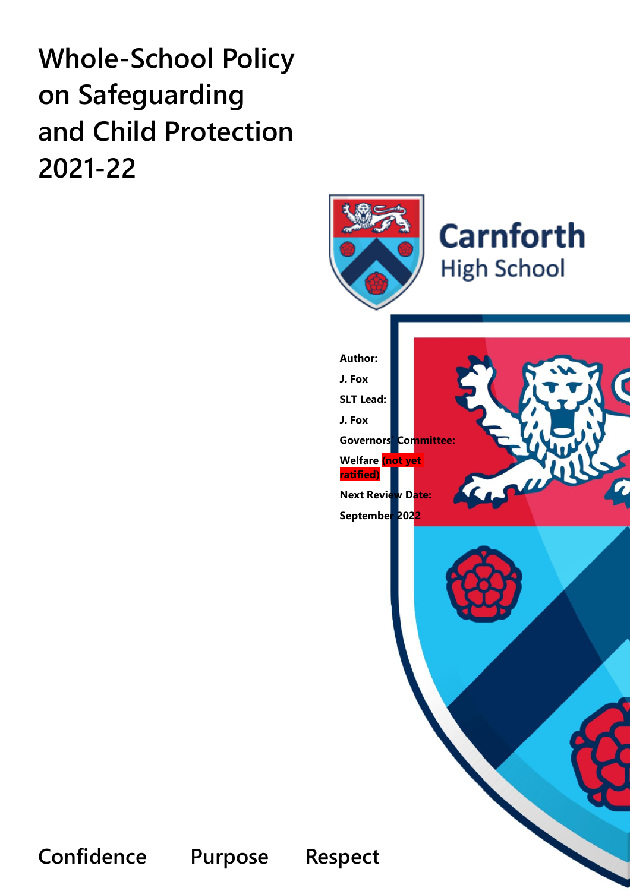# **Whole-School Policy on Safeguarding and Child Protection 2021-22**



**Confidence Purpose Respect**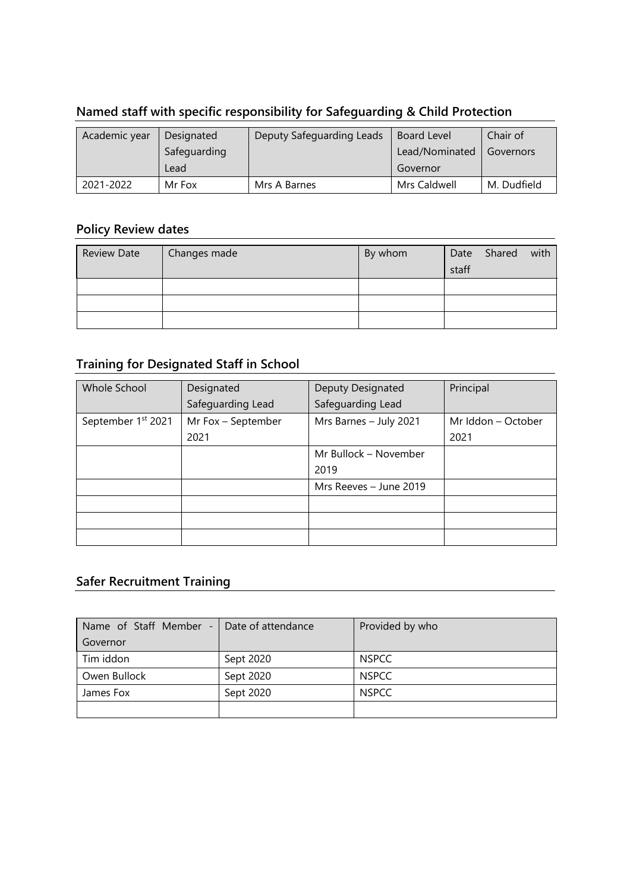# **Named staff with specific responsibility for Safeguarding & Child Protection**

| Academic year | Designated   | <b>Deputy Safeguarding Leads</b> | Board Level    | Chair of    |
|---------------|--------------|----------------------------------|----------------|-------------|
|               | Safeguarding |                                  | Lead/Nominated | Governors   |
|               | Lead         |                                  | Governor       |             |
| 2021-2022     | Mr Fox       | Mrs A Barnes                     | Mrs Caldwell   | M. Dudfield |

# **Policy Review dates**

| <b>Review Date</b> | Changes made | By whom |       | Date Shared | with |
|--------------------|--------------|---------|-------|-------------|------|
|                    |              |         | staff |             |      |
|                    |              |         |       |             |      |
|                    |              |         |       |             |      |
|                    |              |         |       |             |      |

# **Training for Designated Staff in School**

| Whole School                   | Designated         | Deputy Designated      | Principal          |
|--------------------------------|--------------------|------------------------|--------------------|
|                                | Safeguarding Lead  | Safeguarding Lead      |                    |
| September 1 <sup>st</sup> 2021 | Mr Fox - September | Mrs Barnes - July 2021 | Mr Iddon - October |
|                                | 2021               |                        | 2021               |
|                                |                    | Mr Bullock - November  |                    |
|                                |                    | 2019                   |                    |
|                                |                    | Mrs Reeves - June 2019 |                    |
|                                |                    |                        |                    |
|                                |                    |                        |                    |
|                                |                    |                        |                    |

# **Safer Recruitment Training**

| Name of Staff Member - | Date of attendance | Provided by who |
|------------------------|--------------------|-----------------|
| Governor               |                    |                 |
| Tim iddon              | Sept 2020          | <b>NSPCC</b>    |
| Owen Bullock           | Sept 2020          | <b>NSPCC</b>    |
| James Fox              | Sept 2020          | <b>NSPCC</b>    |
|                        |                    |                 |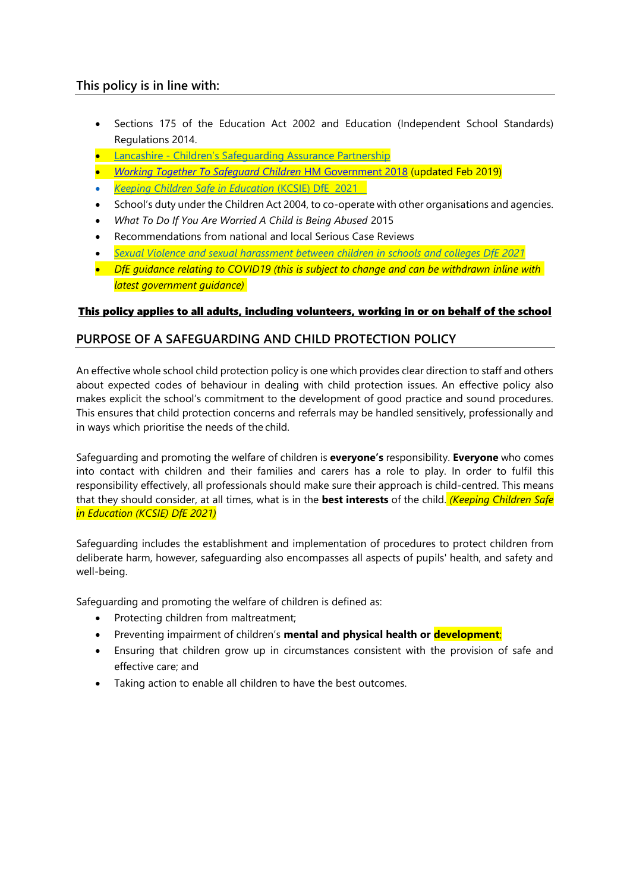# **This policy is in line with:**

- Sections 175 of the Education Act 2002 and Education (Independent School Standards) Regulations 2014.
- Lancashire [Children's Safeguarding Assurance Partnership](https://www.lancashiresafeguarding.org.uk/)
- *[Working Together To Safeguard Children](https://www.gov.uk/government/publications/working-together-to-safeguard-children--2)* HM Government 2018 (updated Feb 2019)
- *[Keeping Children Safe in Education](https://www.gov.uk/government/publications/keeping-children-safe-in-education--2)* (KCSIE) DfE 2021
- School's duty under the Children Act 2004, to co-operate with other organisations and agencies.
- *What To Do If You Are Worried A Child is Being Abused* 2015
- Recommendations from national and local Serious Case Reviews
- *[Sexual Violence and sexual harassment between children in schools and colleges DfE 2021](https://assets.publishing.service.gov.uk/government/uploads/system/uploads/attachment_data/file/1014224/Sexual_violence_and_sexual_harassment_between_children_in_schools_and_colleges.pdf)*
- *DfE guidance relating to COVID19 (this is subject to change and can be withdrawn inline with latest government guidance)*

# This policy applies to all adults, including volunteers, working in or on behalf of the school

# **PURPOSE OF A SAFEGUARDING AND CHILD PROTECTION POLICY**

An effective whole school child protection policy is one which provides clear direction to staff and others about expected codes of behaviour in dealing with child protection issues. An effective policy also makes explicit the school's commitment to the development of good practice and sound procedures. This ensures that child protection concerns and referrals may be handled sensitively, professionally and in ways which prioritise the needs of the child.

Safeguarding and promoting the welfare of children is **everyone's** responsibility. **Everyone** who comes into contact with children and their families and carers has a role to play. In order to fulfil this responsibility effectively, all professionals should make sure their approach is child-centred. This means that they should consider, at all times, what is in the **best interests** of the child. *(Keeping Children Safe in Education (KCSIE) DfE 2021)*

Safeguarding includes the establishment and implementation of procedures to protect children from deliberate harm, however, safeguarding also encompasses all aspects of pupils' health, and safety and well-being.

Safeguarding and promoting the welfare of children is defined as:

- Protecting children from maltreatment;
- Preventing impairment of children's **mental and physical health or development**;
- Ensuring that children grow up in circumstances consistent with the provision of safe and effective care; and
- Taking action to enable all children to have the best outcomes.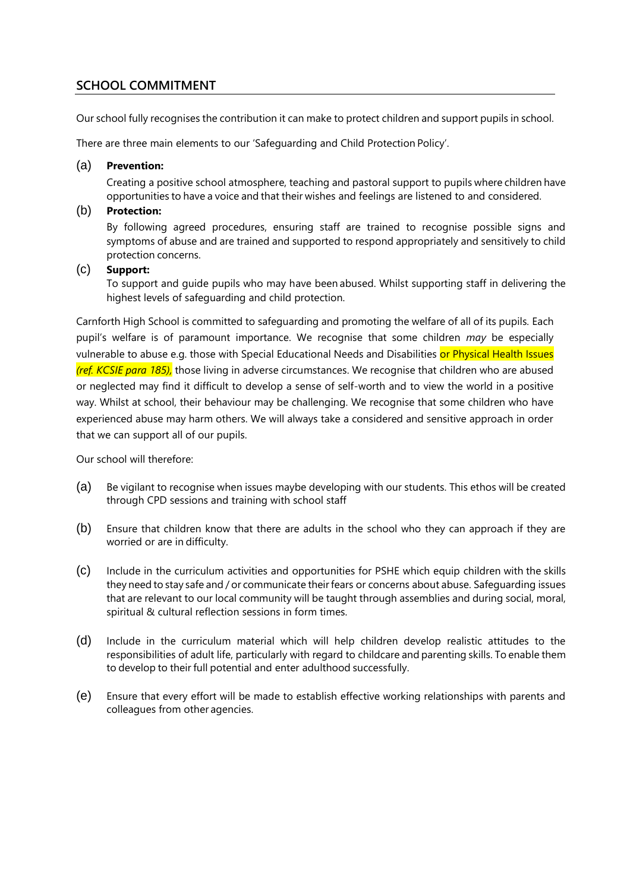# **SCHOOL COMMITMENT**

Our school fully recognises the contribution it can make to protect children and support pupils in school.

There are three main elements to our 'Safeguarding and Child Protection Policy'.

### (a) **Prevention:**

Creating a positive school atmosphere, teaching and pastoral support to pupils where children have opportunities to have a voice and that their wishes and feelings are listened to and considered.

### (b) **Protection:**

By following agreed procedures, ensuring staff are trained to recognise possible signs and symptoms of abuse and are trained and supported to respond appropriately and sensitively to child protection concerns.

### (c) **Support:**

To support and guide pupils who may have been abused. Whilst supporting staff in delivering the highest levels of safeguarding and child protection.

Carnforth High School is committed to safeguarding and promoting the welfare of all of its pupils*.* Each pupil's welfare is of paramount importance. We recognise that some children *may* be especially vulnerable to abuse e.g. those with Special Educational Needs and Disabilities or Physical Health Issues *(ref. KCSIE para 185),* those living in adverse circumstances. We recognise that children who are abused or neglected may find it difficult to develop a sense of self-worth and to view the world in a positive way. Whilst at school, their behaviour may be challenging. We recognise that some children who have experienced abuse may harm others. We will always take a considered and sensitive approach in order that we can support all of our pupils.

Our school will therefore:

- (a) Be vigilant to recognise when issues maybe developing with our students. This ethos will be created through CPD sessions and training with school staff
- (b) Ensure that children know that there are adults in the school who they can approach if they are worried or are in difficulty.
- (c) Include in the curriculum activities and opportunities for PSHE which equip children with the skills they need to stay safe and / or communicate their fears or concerns about abuse. Safeguarding issues that are relevant to our local community will be taught through assemblies and during social, moral, spiritual & cultural reflection sessions in form times.
- (d) Include in the curriculum material which will help children develop realistic attitudes to the responsibilities of adult life, particularly with regard to childcare and parenting skills. To enable them to develop to their full potential and enter adulthood successfully.
- (e) Ensure that every effort will be made to establish effective working relationships with parents and colleagues from other agencies.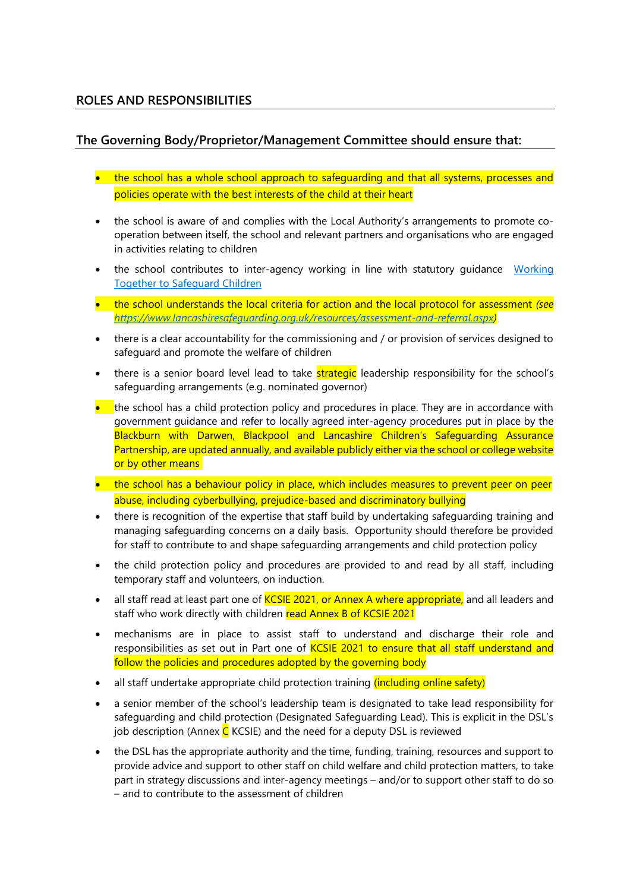# **ROLES AND RESPONSIBILITIES**

# **The Governing Body/Proprietor/Management Committee should ensure that:**

- the school has a whole school approach to safeguarding and that all systems, processes and policies operate with the best interests of the child at their heart
- the school is aware of and complies with the Local Authority's arrangements to promote cooperation between itself, the school and relevant partners and organisations who are engaged in activities relating to children
- the school contributes to inter-agency working in line with statutory guidance Working [Together to Safeguard Children](https://www.gov.uk/government/publications/working-together-to-safeguard-children--2)
- the school understands the local criteria for action and the local protocol for assessment *(see [https://www.lancashiresafeguarding.org.uk/resources/assessment-and-referral.aspx\)](https://www.lancashiresafeguarding.org.uk/resources/assessment-and-referral.aspx)*
- there is a clear accountability for the commissioning and / or provision of services designed to safeguard and promote the welfare of children
- there is a senior board level lead to take **strategic** leadership responsibility for the school's safeguarding arrangements (e.g. nominated governor)
- the school has a child protection policy and procedures in place. They are in accordance with government guidance and refer to locally agreed inter-agency procedures put in place by the Blackburn with Darwen, Blackpool and Lancashire Children's Safeguarding Assurance Partnership, are updated annually, and available publicly either via the school or college website or by other means
- the school has a behaviour policy in place, which includes measures to prevent peer on peer abuse, including cyberbullying, prejudice-based and discriminatory bullying
- there is recognition of the expertise that staff build by undertaking safeguarding training and managing safeguarding concerns on a daily basis. Opportunity should therefore be provided for staff to contribute to and shape safeguarding arrangements and child protection policy
- the child protection policy and procedures are provided to and read by all staff, including temporary staff and volunteers, on induction.
- all staff read at least part one of KCSIE 2021, or Annex A where appropriate, and all leaders and staff who work directly with children read Annex B of KCSIE 2021
- mechanisms are in place to assist staff to understand and discharge their role and responsibilities as set out in Part one of KCSIE 2021 to ensure that all staff understand and follow the policies and procedures adopted by the governing body
- all staff undertake appropriate child protection training *(including online safety)*
- a senior member of the school's leadership team is designated to take lead responsibility for safeguarding and child protection (Designated Safeguarding Lead). This is explicit in the DSL's job description (Annex  $C$  KCSIE) and the need for a deputy DSL is reviewed
- the DSL has the appropriate authority and the time, funding, training, resources and support to provide advice and support to other staff on child welfare and child protection matters, to take part in strategy discussions and inter-agency meetings – and/or to support other staff to do so – and to contribute to the assessment of children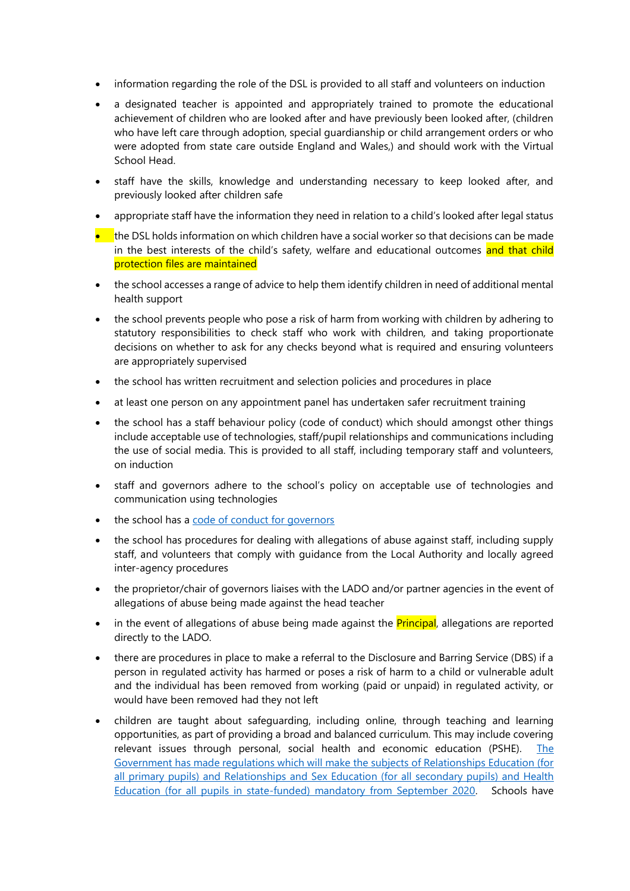- information regarding the role of the DSL is provided to all staff and volunteers on induction
- a designated teacher is appointed and appropriately trained to promote the educational achievement of children who are looked after and have previously been looked after, (children who have left care through adoption, special guardianship or child arrangement orders or who were adopted from state care outside England and Wales,) and should work with the Virtual School Head.
- staff have the skills, knowledge and understanding necessary to keep looked after, and previously looked after children safe
- appropriate staff have the information they need in relation to a child's looked after legal status
- the DSL holds information on which children have a social worker so that decisions can be made in the best interests of the child's safety, welfare and educational outcomes and that child protection files are maintained
- the school accesses a range of advice to help them identify children in need of additional mental health support
- the school prevents people who pose a risk of harm from working with children by adhering to statutory responsibilities to check staff who work with children*,* and taking proportionate decisions on whether to ask for any checks beyond what is required and ensuring volunteers are appropriately supervised
- the school has written recruitment and selection policies and procedures in place
- at least one person on any appointment panel has undertaken safer recruitment training
- the school has a staff behaviour policy (code of conduct) which should amongst other things include acceptable use of technologies, staff/pupil relationships and communications including the use of social media. This is provided to all staff, including temporary staff and volunteers, on induction
- staff and governors adhere to the school's policy on acceptable use of technologies and communication using technologies
- the school has a [code of conduct for governors](https://www.nga.org.uk/codeofconduct2017)
- the school has procedures for dealing with allegations of abuse against staff, including supply staff, and volunteers that comply with guidance from the Local Authority and locally agreed inter-agency procedures
- the proprietor/chair of governors liaises with the LADO and/or partner agencies in the event of allegations of abuse being made against the head teacher
- in the event of allegations of abuse being made against the **Principal**, allegations are reported directly to the LADO.
- there are procedures in place to make a referral to the Disclosure and Barring Service (DBS) if a person in regulated activity has harmed or poses a risk of harm to a child or vulnerable adult and the individual has been removed from working (paid or unpaid) in regulated activity, or would have been removed had they not left
- children are taught about safeguarding, including online, through teaching and learning opportunities, as part of providing a broad and balanced curriculum. This may include covering relevant issues through personal, social health and economic education (PSHE). [The](https://www.gov.uk/government/publications/relationships-education-relationships-and-sex-education-rse-and-health-education)  [Government has made regulations which will make the subjects of Relationships Education \(for](https://www.gov.uk/government/publications/relationships-education-relationships-and-sex-education-rse-and-health-education)  [all primary pupils\) and Relationships and Sex Education \(for all secondary pupils\) and Health](https://www.gov.uk/government/publications/relationships-education-relationships-and-sex-education-rse-and-health-education)  [Education \(for all pupils in state-funded\) mandatory from September 2020.](https://www.gov.uk/government/publications/relationships-education-relationships-and-sex-education-rse-and-health-education) Schools have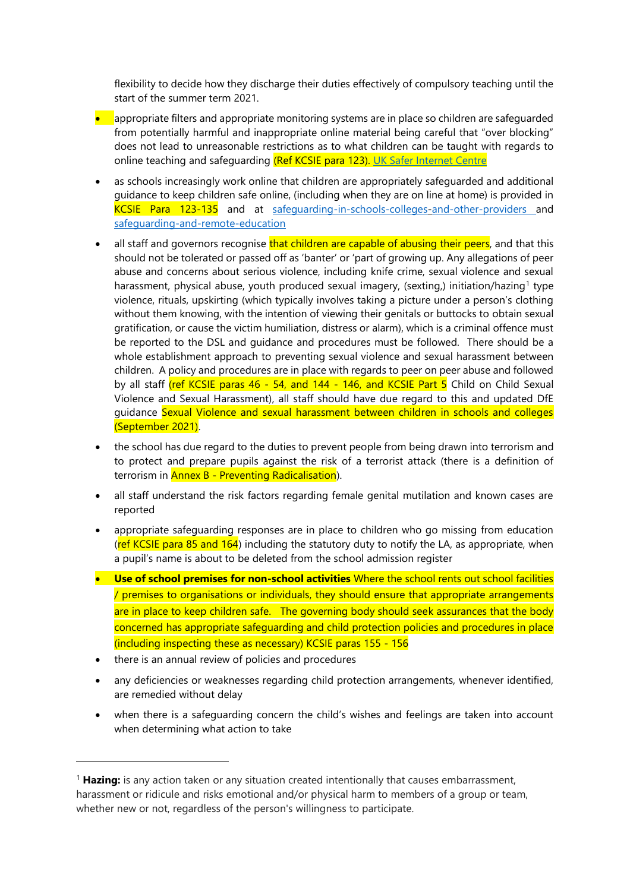flexibility to decide how they discharge their duties effectively of compulsory teaching until the start of the summer term 2021.

- appropriate filters and appropriate monitoring systems are in place so children are safeguarded from potentially harmful and inappropriate online material being careful that "over blocking" does not lead to unreasonable restrictions as to what children can be taught with regards to online teaching and safeguarding (Ref KCSIE para 123). [UK Safer Internet Centre](https://www.saferinternet.org.uk/advice-centre/teachers-and-school-staff/appropriate-filtering-and-monitoring)
- as schools increasingly work online that children are appropriately safeguarded and additional guidance to keep children safe online, (including when they are on line at home) is provided in KCSIE Para 123-135 and at [safeguarding-in-schools-colleges-and-other-providers](https://www.gov.uk/government/publications/covid-19-safeguarding-in-schools-colleges-and-other-providers/coronavirus-covid-19-safeguarding-in-schools-colleges-and-other-providers) [a](https://www.gov.uk/government/publications/covid-19-safeguarding-in-schools-colleges-and-other-providers/coronavirus-covid-19-safeguarding-in-schools-colleges-and-other-providers)nd [safeguarding-and-remote-education](https://www.gov.uk/guidance/safeguarding-and-remote-education-during-coronavirus-covid-19)
- all staff and governors recognise that children are capable of abusing their peers, and that this should not be tolerated or passed off as 'banter' or 'part of growing up. Any allegations of peer abuse and concerns about serious violence, including knife crime, sexual violence and sexual harassment, physical abuse, youth produced sexual imagery, (sexting,) initiation/hazing<sup>1</sup> type violence, rituals, upskirting (which typically involves taking a picture under a person's clothing without them knowing, with the intention of viewing their genitals or buttocks to obtain sexual gratification, or cause the victim humiliation, distress or alarm), which is a criminal offence must be reported to the DSL and guidance and procedures must be followed. There should be a whole establishment approach to preventing sexual violence and sexual harassment between children. A policy and procedures are in place with regards to peer on peer abuse and followed by all staff (ref KCSIE paras 46 - 54, and 144 - 146, and KCSIE Part 5 Child on Child Sexual Violence and Sexual Harassment), all staff should have due regard to this and updated DfE guidance Sexual Violence and sexual harassment between children in schools and colleges (September 2021).
- the school has due regard to the duties to prevent people from being drawn into terrorism and to protect and prepare pupils against the risk of a terrorist attack (there is a definition of terrorism in **Annex B - Preventing Radicalisation**).
- all staff understand the risk factors regarding female genital mutilation and known cases are reported
- appropriate safeguarding responses are in place to children who go missing from education (ref KCSIE para 85 and 164) including the statutory duty to notify the LA, as appropriate, when a pupil's name is about to be deleted from the school admission register
- **Use of school premises for non-school activities** Where the school rents out school facilities / premises to organisations or individuals, they should ensure that appropriate arrangements are in place to keep children safe. The governing body should seek assurances that the body concerned has appropriate safeguarding and child protection policies and procedures in place (including inspecting these as necessary) KCSIE paras 155 - 156
- there is an annual review of policies and procedures

l

- any deficiencies or weaknesses regarding child protection arrangements, whenever identified, are remedied without delay
- when there is a safeguarding concern the child's wishes and feelings are taken into account when determining what action to take

<sup>&</sup>lt;sup>1</sup> Hazing: is any action taken or any situation created intentionally that causes embarrassment, harassment or ridicule and risks emotional and/or physical harm to members of a group or team, whether new or not, regardless of the person's willingness to participate.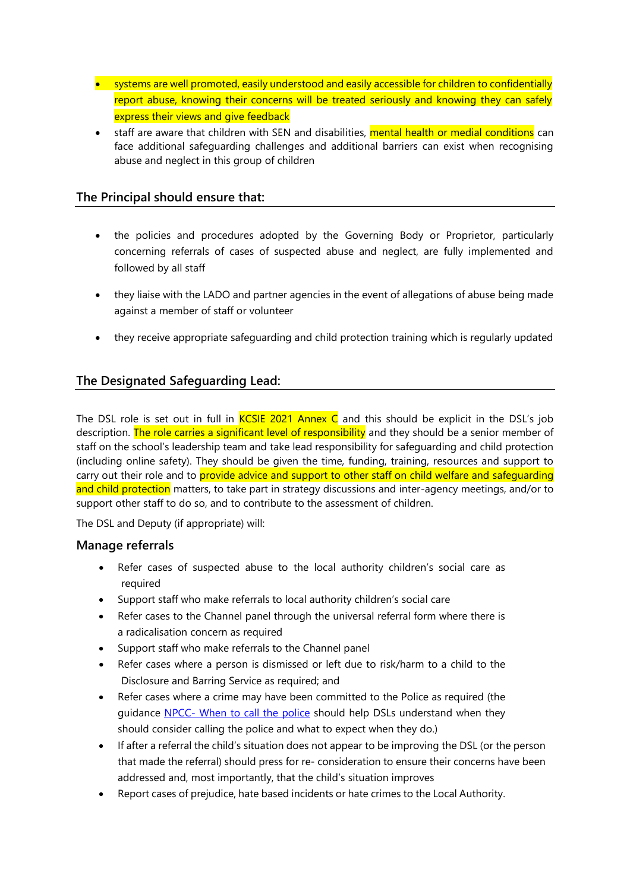- systems are well promoted, easily understood and easily accessible for children to confidentially report abuse, knowing their concerns will be treated seriously and knowing they can safely express their views and give feedback
- staff are aware that children with SEN and disabilities, mental health or medial conditions can face additional safeguarding challenges and additional barriers can exist when recognising abuse and neglect in this group of children

# **The Principal should ensure that:**

- the policies and procedures adopted by the Governing Body or Proprietor, particularly concerning referrals of cases of suspected abuse and neglect, are fully implemented and followed by all staff
- they liaise with the LADO and partner agencies in the event of allegations of abuse being made against a member of staff or volunteer
- they receive appropriate safeguarding and child protection training which is regularly updated

# **The Designated Safeguarding Lead:**

The DSL role is set out in full in  $KCSIE$  2021 Annex C and this should be explicit in the DSL's job description. The role carries a significant level of responsibility and they should be a senior member of staff on the school's leadership team and take lead responsibility for safeguarding and child protection (including online safety). They should be given the time, funding, training, resources and support to carry out their role and to provide advice and support to other staff on child welfare and safeguarding and child protection matters, to take part in strategy discussions and inter-agency meetings, and/or to support other staff to do so, and to contribute to the assessment of children.

The DSL and Deputy (if appropriate) will:

### **Manage referrals**

- Refer cases of suspected abuse to the local authority children's social care as required
- Support staff who make referrals to local authority children's social care
- Refer cases to the Channel panel through the universal referral form where there is a radicalisation concern as required
- Support staff who make referrals to the Channel panel
- Refer cases where a person is dismissed or left due to risk/harm to a child to the Disclosure and Barring Service as required; and
- Refer cases where a crime may have been committed to the Police as required (the guidance NPCC- [When to call the police](https://www.npcc.police.uk/documents/Children%20and%20Young%20people/When%20to%20call%20the%20police%20guidance%20for%20schools%20and%20colleges.pdf) should help DSLs understand when they should consider calling the police and what to expect when they do.)
- If after a referral the child's situation does not appear to be improving the DSL (or the person that made the referral) should press for re- consideration to ensure their concerns have been addressed and, most importantly, that the child's situation improves
- Report cases of prejudice, hate based incidents or hate crimes to the Local Authority.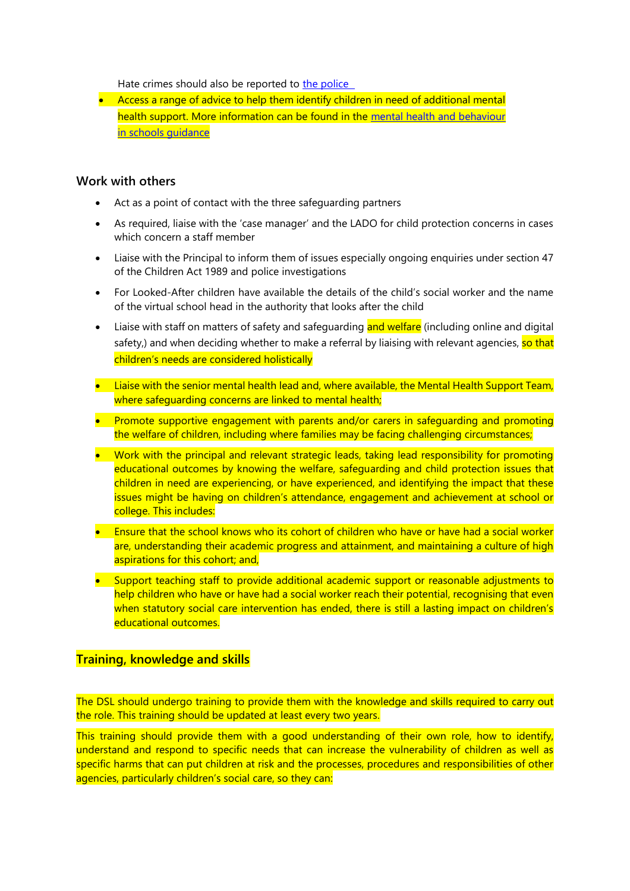Hate crimes should also be reported to the police

• Access a range of advice to help them identify children in need of additional mental health support. More information can be found in the [mental health and behaviour](https://www.gov.uk/government/publications/mental-health-and-behaviour-in-schools--2)  [in schools guidance](https://www.gov.uk/government/publications/mental-health-and-behaviour-in-schools--2)

### **Work with others**

- Act as a point of contact with the three safeguarding partners
- As required, liaise with the 'case manager' and the LADO for child protection concerns in cases which concern a staff member
- Liaise with the Principal to inform them of issues especially ongoing enquiries under section 47 of the Children Act 1989 and police investigations
- For Looked-After children have available the details of the child's social worker and the name of the virtual school head in the authority that looks after the child
- Liaise with staff on matters of safety and safeguarding and welfare (including online and digital safety,) and when deciding whether to make a referral by liaising with relevant agencies, so that children's needs are considered holistically
- Liaise with the senior mental health lead and, where available, the Mental Health Support Team, where safequarding concerns are linked to mental health;
- Promote supportive engagement with parents and/or carers in safeguarding and promoting the welfare of children, including where families may be facing challenging circumstances;
- Work with the principal and relevant strategic leads, taking lead responsibility for promoting educational outcomes by knowing the welfare, safeguarding and child protection issues that children in need are experiencing, or have experienced, and identifying the impact that these issues might be having on children's attendance, engagement and achievement at school or college. This includes:
- Ensure that the school knows who its cohort of children who have or have had a social worker are, understanding their academic progress and attainment, and maintaining a culture of high aspirations for this cohort; and,
- Support teaching staff to provide additional academic support or reasonable adjustments to help children who have or have had a social worker reach their potential, recognising that even when statutory social care intervention has ended, there is still a lasting impact on children's educational outcomes.

# **Training, knowledge and skills**

The DSL should undergo training to provide them with the knowledge and skills required to carry out the role. This training should be updated at least every two years.

This training should provide them with a good understanding of their own role, how to identify, understand and respond to specific needs that can increase the vulnerability of children as well as specific harms that can put children at risk and the processes, procedures and responsibilities of other agencies, particularly children's social care, so they can: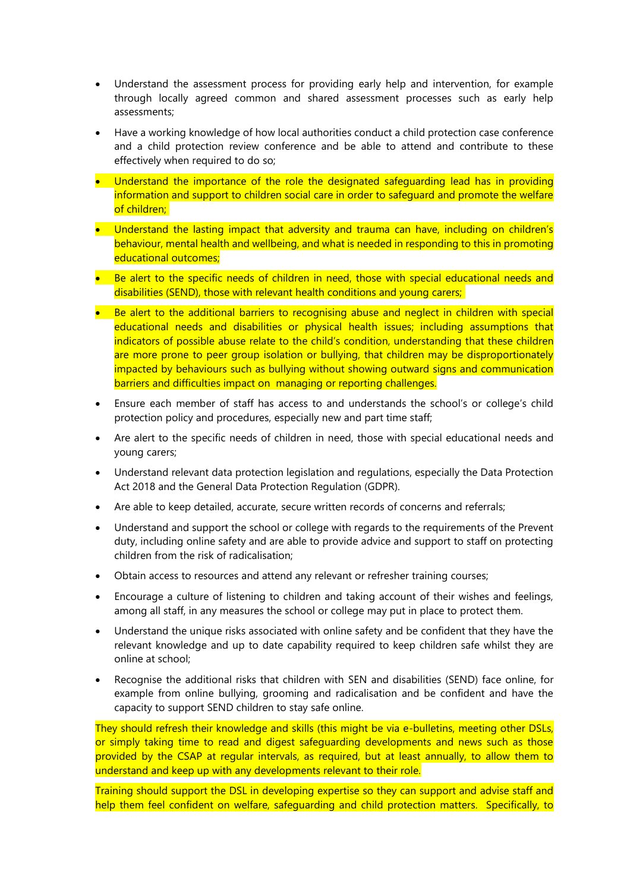- Understand the assessment process for providing early help and intervention, for example through locally agreed common and shared assessment processes such as early help assessments;
- Have a working knowledge of how local authorities conduct a child protection case conference and a child protection review conference and be able to attend and contribute to these effectively when required to do so;
- Understand the importance of the role the designated safequarding lead has in providing information and support to children social care in order to safeguard and promote the welfare of children;
- Understand the lasting impact that adversity and trauma can have, including on children's behaviour, mental health and wellbeing, and what is needed in responding to this in promoting educational outcomes;
- Be alert to the specific needs of children in need, those with special educational needs and disabilities (SEND), those with relevant health conditions and young carers;
- Be alert to the additional barriers to recognising abuse and neglect in children with special educational needs and disabilities or physical health issues; including assumptions that indicators of possible abuse relate to the child's condition, understanding that these children are more prone to peer group isolation or bullying, that children may be disproportionately impacted by behaviours such as bullying without showing outward signs and communication barriers and difficulties impact on managing or reporting challenges.
- Ensure each member of staff has access to and understands the school's or college's child protection policy and procedures, especially new and part time staff;
- Are alert to the specific needs of children in need, those with special educational needs and young carers;
- Understand relevant data protection legislation and regulations, especially the Data Protection Act 2018 and the General Data Protection Regulation (GDPR).
- Are able to keep detailed, accurate, secure written records of concerns and referrals;
- Understand and support the school or college with regards to the requirements of the Prevent duty, including online safety and are able to provide advice and support to staff on protecting children from the risk of radicalisation;
- Obtain access to resources and attend any relevant or refresher training courses;
- Encourage a culture of listening to children and taking account of their wishes and feelings, among all staff, in any measures the school or college may put in place to protect them.
- Understand the unique risks associated with online safety and be confident that they have the relevant knowledge and up to date capability required to keep children safe whilst they are online at school;
- Recognise the additional risks that children with SEN and disabilities (SEND) face online, for example from online bullying, grooming and radicalisation and be confident and have the capacity to support SEND children to stay safe online.

They should refresh their knowledge and skills (this might be via e-bulletins, meeting other DSLs, or simply taking time to read and digest safeguarding developments and news such as those provided by the CSAP at regular intervals, as required, but at least annually, to allow them to understand and keep up with any developments relevant to their role.

Training should support the DSL in developing expertise so they can support and advise staff and help them feel confident on welfare, safequarding and child protection matters. Specifically, to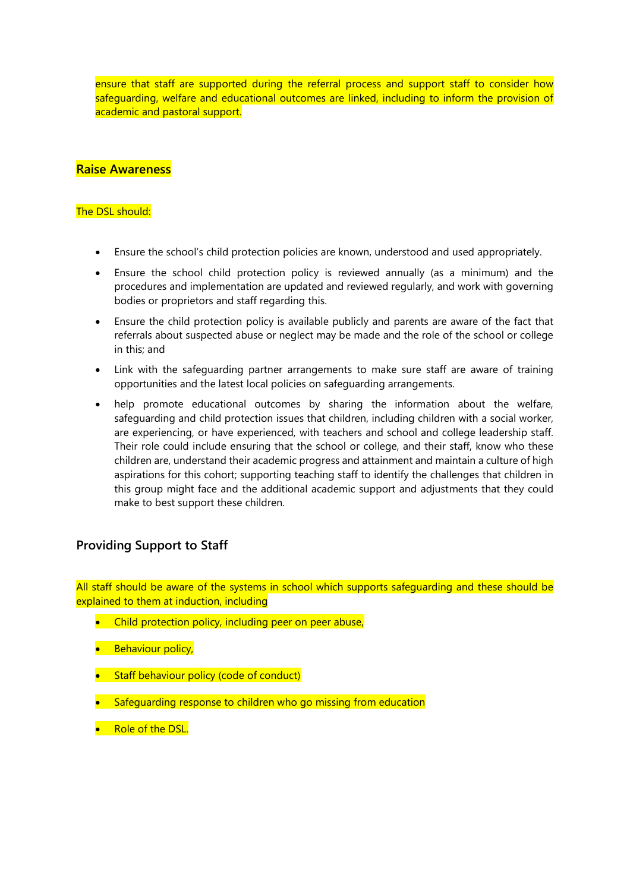ensure that staff are supported during the referral process and support staff to consider how safeguarding, welfare and educational outcomes are linked, including to inform the provision of academic and pastoral support.

# **Raise Awareness**

### The DSL should:

- Ensure the school's child protection policies are known, understood and used appropriately.
- Ensure the school child protection policy is reviewed annually (as a minimum) and the procedures and implementation are updated and reviewed regularly, and work with governing bodies or proprietors and staff regarding this.
- Ensure the child protection policy is available publicly and parents are aware of the fact that referrals about suspected abuse or neglect may be made and the role of the school or college in this; and
- Link with the safeguarding partner arrangements to make sure staff are aware of training opportunities and the latest local policies on safeguarding arrangements.
- help promote educational outcomes by sharing the information about the welfare, safeguarding and child protection issues that children, including children with a social worker, are experiencing, or have experienced, with teachers and school and college leadership staff. Their role could include ensuring that the school or college, and their staff, know who these children are, understand their academic progress and attainment and maintain a culture of high aspirations for this cohort; supporting teaching staff to identify the challenges that children in this group might face and the additional academic support and adjustments that they could make to best support these children.

# **Providing Support to Staff**

All staff should be aware of the systems in school which supports safequarding and these should be explained to them at induction, including

- Child protection policy, including peer on peer abuse,
- Behaviour policy,
- Staff behaviour policy (code of conduct)
- Safeguarding response to children who go missing from education
- Role of the DSL.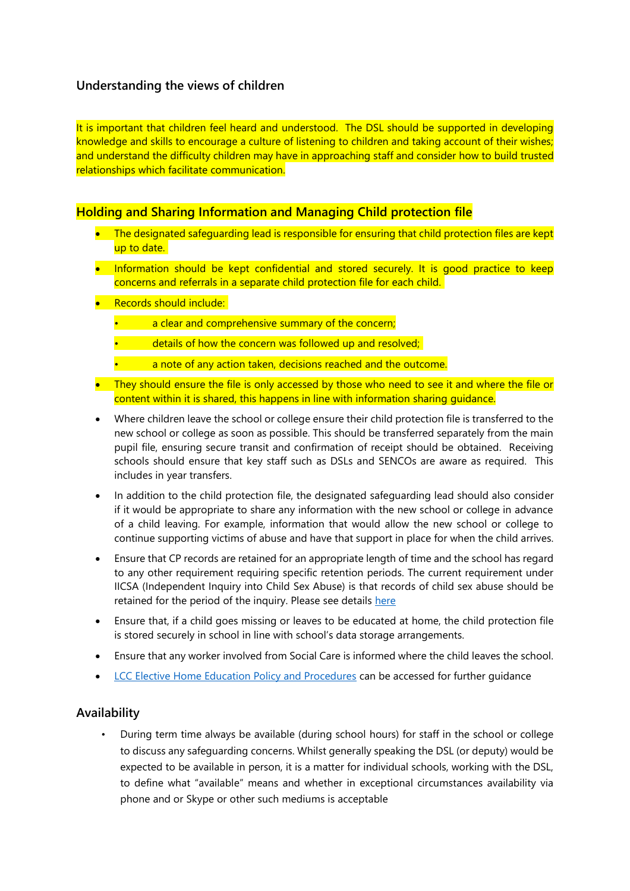# **Understanding the views of children**

It is important that children feel heard and understood. The DSL should be supported in developing knowledge and skills to encourage a culture of listening to children and taking account of their wishes; and understand the difficulty children may have in approaching staff and consider how to build trusted relationships which facilitate communication.

# **Holding and Sharing Information and Managing Child protection file**

- The designated safeguarding lead is responsible for ensuring that child protection files are kept up to date.
- Information should be kept confidential and stored securely. It is good practice to keep concerns and referrals in a separate child protection file for each child.
- Records should include:
	- a clear and comprehensive summary of the concern;
		- details of how the concern was followed up and resolved;
	- a note of any action taken, decisions reached and the outcome.
- They should ensure the file is only accessed by those who need to see it and where the file or content within it is shared, this happens in line with information sharing guidance.
- Where children leave the school or college ensure their child protection file is transferred to the new school or college as soon as possible. This should be transferred separately from the main pupil file, ensuring secure transit and confirmation of receipt should be obtained. Receiving schools should ensure that key staff such as DSLs and SENCOs are aware as required. This includes in year transfers.
- In addition to the child protection file, the designated safeguarding lead should also consider if it would be appropriate to share any information with the new school or college in advance of a child leaving. For example, information that would allow the new school or college to continue supporting victims of abuse and have that support in place for when the child arrives.
- Ensure that CP records are retained for an appropriate length of time and the school has regard to any other requirement requiring specific retention periods. The current requirement under IICSA (Independent Inquiry into Child Sex Abuse) is that records of child sex abuse should be retained for the period of the inquiry. Please see details [here](https://www.iicsa.org.uk/letter-to-local-authority-ceos)
- Ensure that, if a child goes missing or leaves to be educated at home, the child protection file is stored securely in school in line with school's data storage arrangements.
- Ensure that any worker involved from Social Care is informed where the child leaves the school.
- [LCC Elective Home Education Policy and Procedures](https://www.lancashire.gov.uk/children-education-families/educating-your-child-at-home/) can be accessed for further guidance

# **Availability**

• During term time always be available (during school hours) for staff in the school or college to discuss any safeguarding concerns. Whilst generally speaking the DSL (or deputy) would be expected to be available in person, it is a matter for individual schools, working with the DSL, to define what "available" means and whether in exceptional circumstances availability via phone and or Skype or other such mediums is acceptable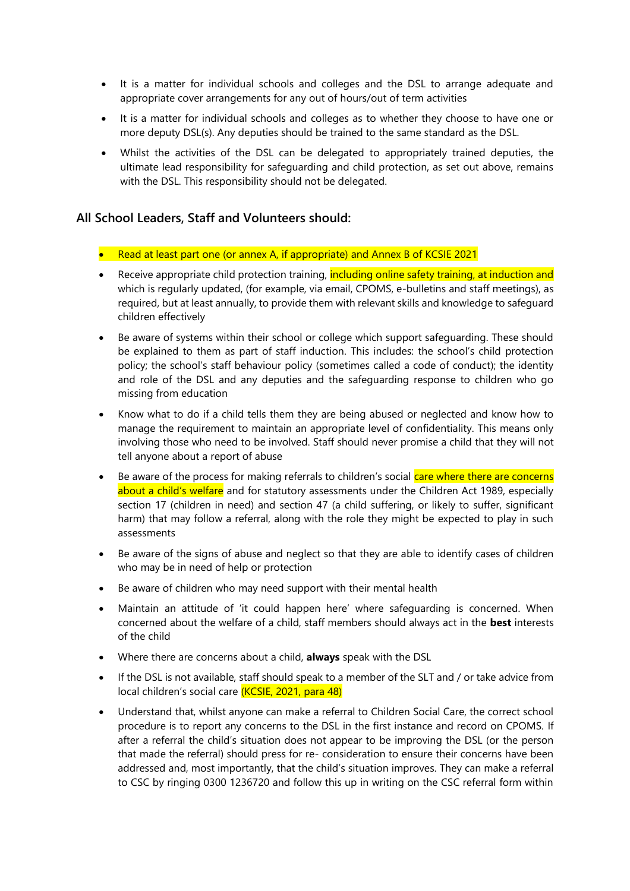- It is a matter for individual schools and colleges and the DSL to arrange adequate and appropriate cover arrangements for any out of hours/out of term activities
- It is a matter for individual schools and colleges as to whether they choose to have one or more deputy DSL(s). Any deputies should be trained to the same standard as the DSL.
- Whilst the activities of the DSL can be delegated to appropriately trained deputies, the ultimate lead responsibility for safeguarding and child protection, as set out above, remains with the DSL. This responsibility should not be delegated.

# **All School Leaders, Staff and Volunteers should:**

- Read at least part one (or annex A, if appropriate) and Annex B of KCSIE 2021
- Receive appropriate child protection training, including online safety training, at induction and which is regularly updated, (for example, via email, CPOMS, e-bulletins and staff meetings), as required, but at least annually, to provide them with relevant skills and knowledge to safeguard children effectively
- Be aware of systems within their school or college which support safeguarding. These should be explained to them as part of staff induction. This includes: the school's child protection policy; the school's staff behaviour policy (sometimes called a code of conduct); the identity and role of the DSL and any deputies and the safeguarding response to children who go missing from education
- Know what to do if a child tells them they are being abused or neglected and know how to manage the requirement to maintain an appropriate level of confidentiality. This means only involving those who need to be involved. Staff should never promise a child that they will not tell anyone about a report of abuse
- Be aware of the process for making referrals to children's social care where there are concerns about a child's welfare and for statutory assessments under the Children Act 1989, especially section 17 (children in need) and section 47 (a child suffering, or likely to suffer, significant harm) that may follow a referral, along with the role they might be expected to play in such assessments
- Be aware of the signs of abuse and neglect so that they are able to identify cases of children who may be in need of help or protection
- Be aware of children who may need support with their mental health
- Maintain an attitude of 'it could happen here' where safeguarding is concerned. When concerned about the welfare of a child, staff members should always act in the **best** interests of the child
- Where there are concerns about a child, **always** speak with the DSL
- If the DSL is not available, staff should speak to a member of the SLT and / or take advice from local children's social care (KCSIE, 2021, para 48)
- Understand that, whilst anyone can make a referral to Children Social Care, the correct school procedure is to report any concerns to the DSL in the first instance and record on CPOMS. If after a referral the child's situation does not appear to be improving the DSL (or the person that made the referral) should press for re- consideration to ensure their concerns have been addressed and, most importantly, that the child's situation improves. They can make a referral to CSC by ringing 0300 1236720 and follow this up in writing on the CSC referral form within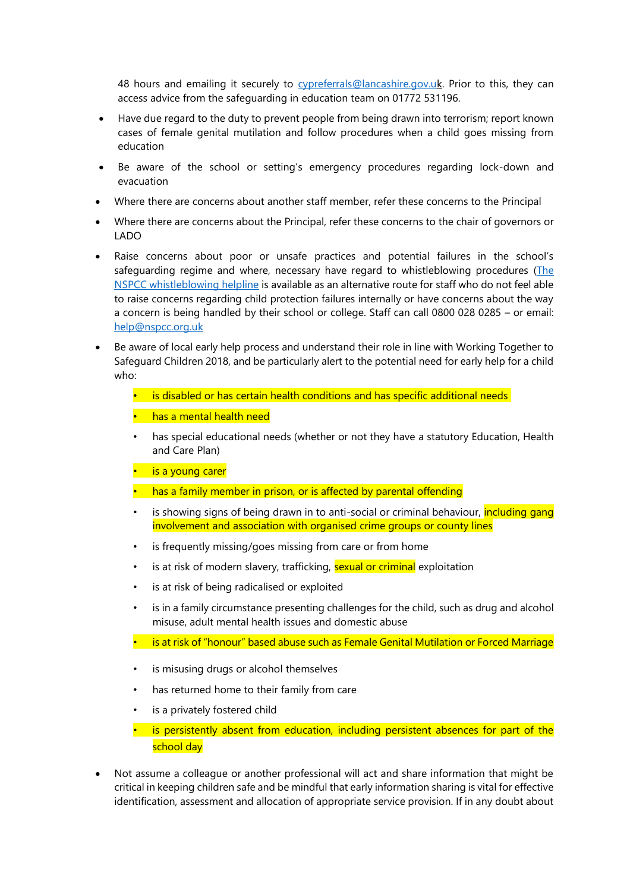48 hours and emailing it securely to [cypreferrals@lancashire.gov.uk](mailto:cypreferrals@lancashire.gov.uk). Prior to this, they can access advice from the safeguarding in education team on 01772 531196.

- Have due regard to the duty to prevent people from being drawn into terrorism; report known cases of female genital mutilation and follow procedures when a child goes missing from education
- Be aware of the school or setting's emergency procedures regarding lock-down and evacuation
- Where there are concerns about another staff member, refer these concerns to the Principal
- Where there are concerns about the Principal, refer these concerns to the chair of governors or LADO
- Raise concerns about poor or unsafe practices and potential failures in the school's safeguarding regime and where, necessary have regard to whistleblowing procedures ( $The$ [NSPCC whistleblowing helpline](https://www.nspcc.org.uk/what-you-can-do/report-abuse/dedicated-helplines/whistleblowing-advice-line/) is available as an alternative route for staff who do not feel able to raise concerns regarding child protection failures internally or have concerns about the way a concern is being handled by their school or college. Staff can call 0800 028 0285 – or email: [help@nspcc.org.uk](mailto:help@nspcc.org.uk)
- Be aware of local early help process and understand their role in line with Working Together to Safeguard Children 2018, and be particularly alert to the potential need for early help for a child who:
	- is disabled or has certain health conditions and has specific additional needs
	- has a mental health need
	- has special educational needs (whether or not they have a statutory Education, Health and Care Plan)
	- is a young carer
	- has a family member in prison, or is affected by parental offending
	- is showing signs of being drawn in to anti-social or criminal behaviour, *including gang* involvement and association with organised crime groups or county lines
	- is frequently missing/goes missing from care or from home
	- is at risk of modern slavery, trafficking, sexual or criminal exploitation
	- is at risk of being radicalised or exploited
	- is in a family circumstance presenting challenges for the child, such as drug and alcohol misuse, adult mental health issues and domestic abuse
	- is at risk of "honour" based abuse such as Female Genital Mutilation or Forced Marriage
	- is misusing drugs or alcohol themselves
	- has returned home to their family from care
	- is a privately fostered child
	- is persistently absent from education, including persistent absences for part of the school day
- Not assume a colleague or another professional will act and share information that might be critical in keeping children safe and be mindful that early information sharing is vital for effective identification, assessment and allocation of appropriate service provision. If in any doubt about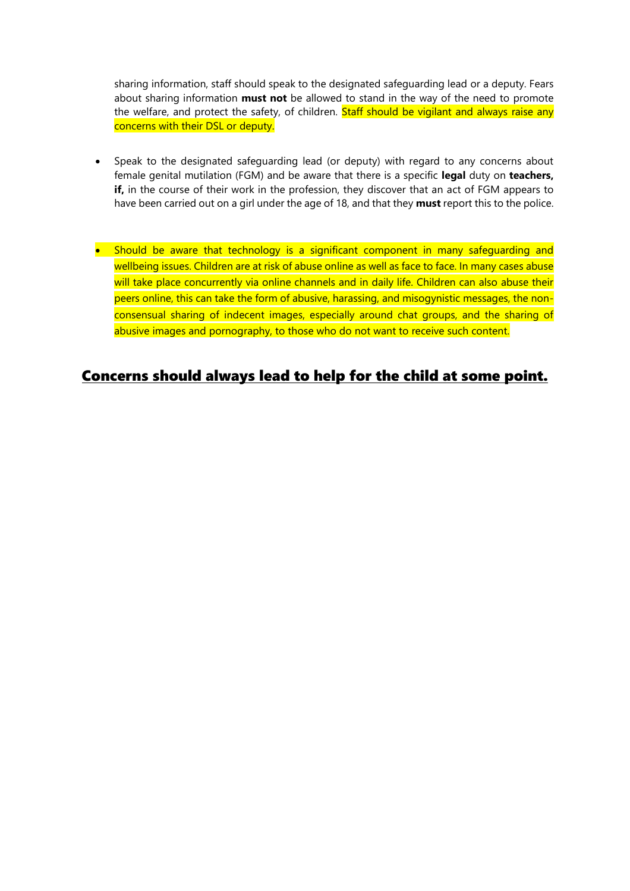sharing information, staff should speak to the designated safeguarding lead or a deputy. Fears about sharing information **must not** be allowed to stand in the way of the need to promote the welfare, and protect the safety, of children. Staff should be vigilant and always raise any concerns with their DSL or deputy.

- Speak to the designated safeguarding lead (or deputy) with regard to any concerns about female genital mutilation (FGM) and be aware that there is a specific **legal** duty on **teachers, if,** in the course of their work in the profession, they discover that an act of FGM appears to have been carried out on a girl under the age of 18, and that they **must** report this to the police.
- Should be aware that technology is a significant component in many safeguarding and wellbeing issues. Children are at risk of abuse online as well as face to face. In many cases abuse will take place concurrently via online channels and in daily life. Children can also abuse their peers online, this can take the form of abusive, harassing, and misogynistic messages, the nonconsensual sharing of indecent images, especially around chat groups, and the sharing of abusive images and pornography, to those who do not want to receive such content.

# Concerns should always lead to help for the child at some point.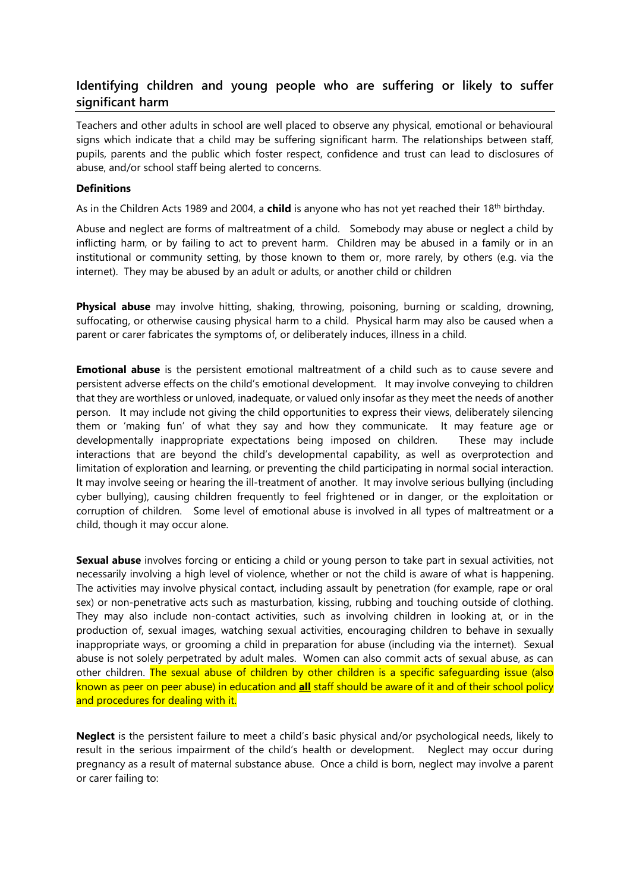# **Identifying children and young people who are suffering or likely to suffer significant harm**

Teachers and other adults in school are well placed to observe any physical, emotional or behavioural signs which indicate that a child may be suffering significant harm. The relationships between staff, pupils, parents and the public which foster respect, confidence and trust can lead to disclosures of abuse, and/or school staff being alerted to concerns.

### **Definitions**

As in the Children Acts 1989 and 2004, a **child** is anyone who has not yet reached their 18<sup>th</sup> birthday.

Abuse and neglect are forms of maltreatment of a child. Somebody may abuse or neglect a child by inflicting harm, or by failing to act to prevent harm. Children may be abused in a family or in an institutional or community setting, by those known to them or, more rarely, by others (e.g. via the internet). They may be abused by an adult or adults, or another child or children

**Physical abuse** may involve hitting, shaking, throwing, poisoning, burning or scalding, drowning, suffocating, or otherwise causing physical harm to a child. Physical harm may also be caused when a parent or carer fabricates the symptoms of, or deliberately induces, illness in a child.

**Emotional abuse** is the persistent emotional maltreatment of a child such as to cause severe and persistent adverse effects on the child's emotional development. It may involve conveying to children that they are worthless or unloved, inadequate, or valued only insofar as they meet the needs of another person. It may include not giving the child opportunities to express their views, deliberately silencing them or 'making fun' of what they say and how they communicate. It may feature age or developmentally inappropriate expectations being imposed on children. These may include interactions that are beyond the child's developmental capability, as well as overprotection and limitation of exploration and learning, or preventing the child participating in normal social interaction. It may involve seeing or hearing the ill-treatment of another. It may involve serious bullying (including cyber bullying), causing children frequently to feel frightened or in danger, or the exploitation or corruption of children. Some level of emotional abuse is involved in all types of maltreatment or a child, though it may occur alone.

**Sexual abuse** involves forcing or enticing a child or young person to take part in sexual activities, not necessarily involving a high level of violence, whether or not the child is aware of what is happening. The activities may involve physical contact, including assault by penetration (for example, rape or oral sex) or non-penetrative acts such as masturbation, kissing, rubbing and touching outside of clothing. They may also include non-contact activities, such as involving children in looking at, or in the production of, sexual images, watching sexual activities, encouraging children to behave in sexually inappropriate ways, or grooming a child in preparation for abuse (including via the internet). Sexual abuse is not solely perpetrated by adult males. Women can also commit acts of sexual abuse, as can other children. The sexual abuse of children by other children is a specific safeguarding issue (also known as peer on peer abuse) in education and **all** staff should be aware of it and of their school policy and procedures for dealing with it.

**Neglect** is the persistent failure to meet a child's basic physical and/or psychological needs, likely to result in the serious impairment of the child's health or development. Neglect may occur during pregnancy as a result of maternal substance abuse. Once a child is born, neglect may involve a parent or carer failing to: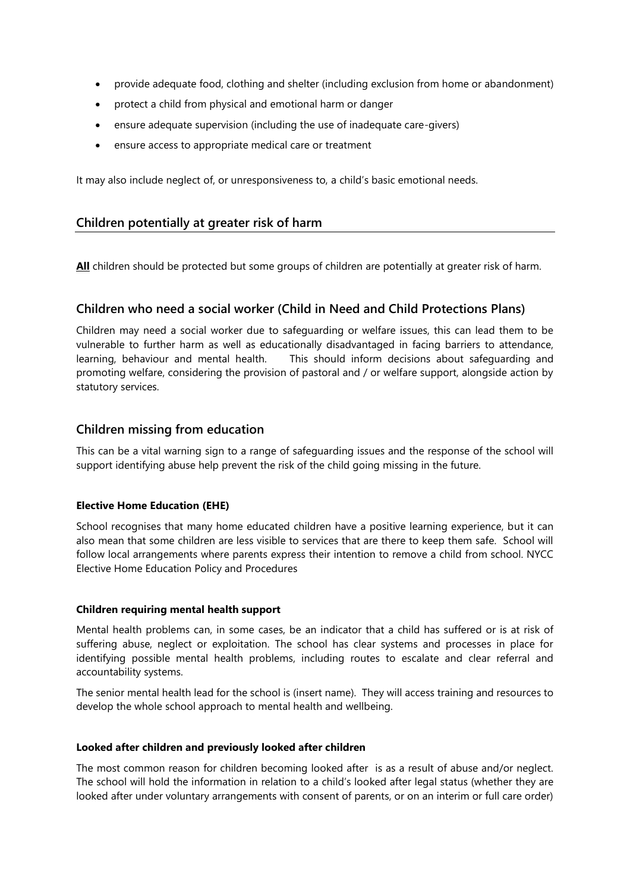- provide adequate food, clothing and shelter (including exclusion from home or abandonment)
- protect a child from physical and emotional harm or danger
- ensure adequate supervision (including the use of inadequate care-givers)
- ensure access to appropriate medical care or treatment

It may also include neglect of, or unresponsiveness to, a child's basic emotional needs.

### **Children potentially at greater risk of harm**

**All** children should be protected but some groups of children are potentially at greater risk of harm.

# **Children who need a social worker (Child in Need and Child Protections Plans)**

Children may need a social worker due to safeguarding or welfare issues, this can lead them to be vulnerable to further harm as well as educationally disadvantaged in facing barriers to attendance, learning, behaviour and mental health. This should inform decisions about safeguarding and promoting welfare, considering the provision of pastoral and / or welfare support, alongside action by statutory services.

### **Children missing from education**

This can be a vital warning sign to a range of safeguarding issues and the response of the school will support identifying abuse help prevent the risk of the child going missing in the future.

### **Elective Home Education (EHE)**

School recognises that many home educated children have a positive learning experience, but it can also mean that some children are less visible to services that are there to keep them safe. School will follow local arrangements where parents express their intention to remove a child from school. NYCC Elective Home Education Policy and Procedures

### **Children requiring mental health support**

Mental health problems can, in some cases, be an indicator that a child has suffered or is at risk of suffering abuse, neglect or exploitation. The school has clear systems and processes in place for identifying possible mental health problems, including routes to escalate and clear referral and accountability systems.

The senior mental health lead for the school is (insert name). They will access training and resources to develop the whole school approach to mental health and wellbeing.

### **Looked after children and previously looked after children**

The most common reason for children becoming looked after is as a result of abuse and/or neglect. The school will hold the information in relation to a child's looked after legal status (whether they are looked after under voluntary arrangements with consent of parents, or on an interim or full care order)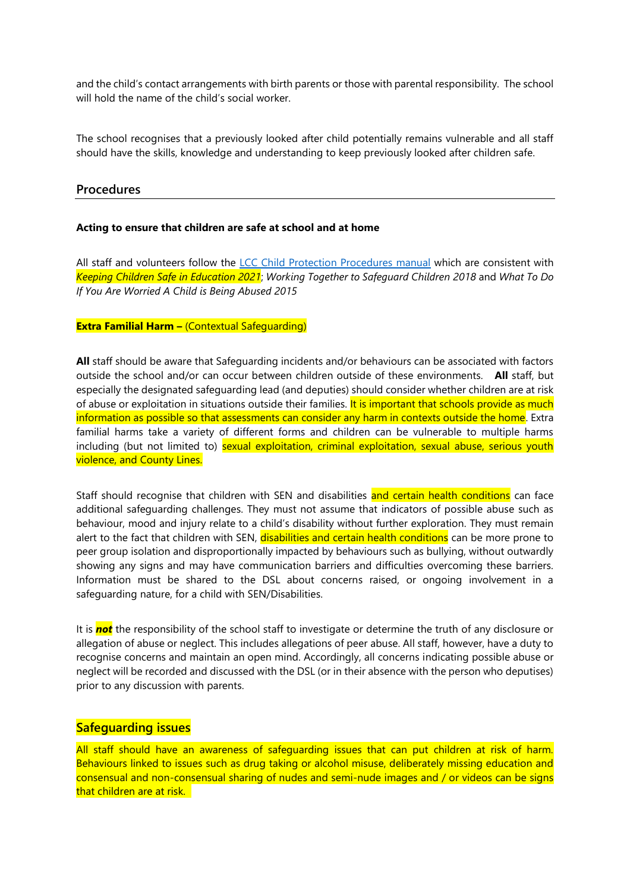and the child's contact arrangements with birth parents or those with parental responsibility. The school will hold the name of the child's social worker.

The school recognises that a previously looked after child potentially remains vulnerable and all staff should have the skills, knowledge and understanding to keep previously looked after children safe.

### **Procedures**

#### **Acting to ensure that children are safe at school and at home**

All staff and volunteers follow the [LCC Child Protection Procedures manual](https://www.proceduresonline.com/lancashirecsc/contents.html) which are consistent with *Keeping Children Safe in Education 2021*; *Working Together to Safeguard Children 2018* and *What To Do If You Are Worried A Child is Being Abused 2015* 

#### **Extra Familial Harm –** (Contextual Safeguarding)

**All** staff should be aware that Safeguarding incidents and/or behaviours can be associated with factors outside the school and/or can occur between children outside of these environments. **All** staff, but especially the designated safeguarding lead (and deputies) should consider whether children are at risk of abuse or exploitation in situations outside their families. It is important that schools provide as much information as possible so that assessments can consider any harm in contexts outside the home. Extra familial harms take a variety of different forms and children can be vulnerable to multiple harms including (but not limited to) sexual exploitation, criminal exploitation, sexual abuse, serious youth violence, and County Lines.

Staff should recognise that children with SEN and disabilities and certain health conditions can face additional safeguarding challenges. They must not assume that indicators of possible abuse such as behaviour, mood and injury relate to a child's disability without further exploration. They must remain alert to the fact that children with SEN, disabilities and certain health conditions can be more prone to peer group isolation and disproportionally impacted by behaviours such as bullying, without outwardly showing any signs and may have communication barriers and difficulties overcoming these barriers. Information must be shared to the DSL about concerns raised, or ongoing involvement in a safeguarding nature, for a child with SEN/Disabilities.

It is *not* the responsibility of the school staff to investigate or determine the truth of any disclosure or allegation of abuse or neglect. This includes allegations of peer abuse. All staff, however, have a duty to recognise concerns and maintain an open mind. Accordingly, all concerns indicating possible abuse or neglect will be recorded and discussed with the DSL (or in their absence with the person who deputises) prior to any discussion with parents.

### **Safeguarding issues**

All staff should have an awareness of safeguarding issues that can put children at risk of harm. Behaviours linked to issues such as drug taking or alcohol misuse, deliberately missing education and consensual and non-consensual sharing of nudes and semi-nude images and / or videos can be signs that children are at risk.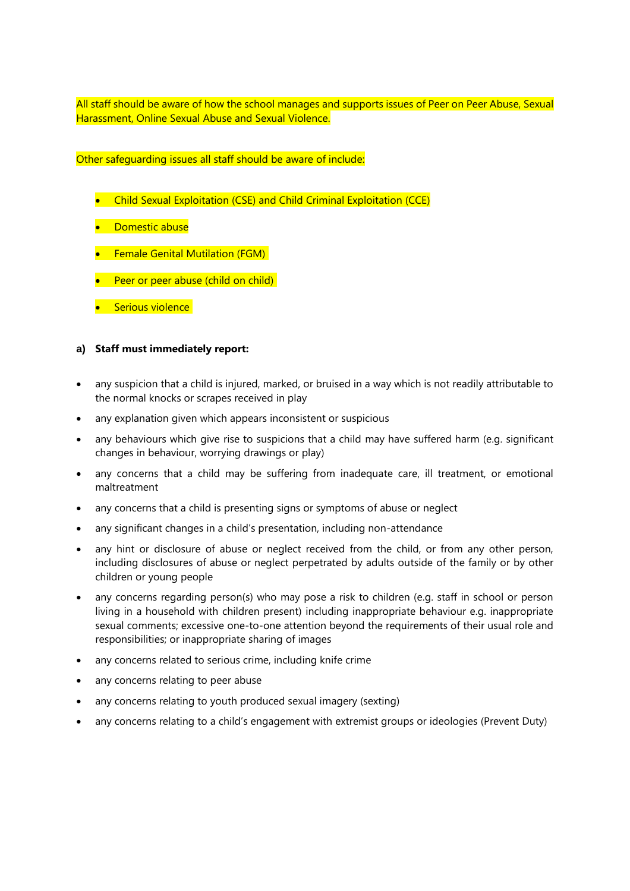All staff should be aware of how the school manages and supports issues of Peer on Peer Abuse, Sexual Harassment, Online Sexual Abuse and Sexual Violence.

Other safeguarding issues all staff should be aware of include:

- Child Sexual Exploitation (CSE) and Child Criminal Exploitation (CCE)
- Domestic abuse
- **•** Female Genital Mutilation (FGM)
- Peer or peer abuse (child on child)
- **•** Serious violence

### **a) Staff must immediately report:**

- any suspicion that a child is injured, marked, or bruised in a way which is not readily attributable to the normal knocks or scrapes received in play
- any explanation given which appears inconsistent or suspicious
- any behaviours which give rise to suspicions that a child may have suffered harm (e.g. significant changes in behaviour, worrying drawings or play)
- any concerns that a child may be suffering from inadequate care, ill treatment, or emotional maltreatment
- any concerns that a child is presenting signs or symptoms of abuse or neglect
- any significant changes in a child's presentation, including non-attendance
- any hint or disclosure of abuse or neglect received from the child, or from any other person, including disclosures of abuse or neglect perpetrated by adults outside of the family or by other children or young people
- any concerns regarding person(s) who may pose a risk to children (e.g. staff in school or person living in a household with children present) including inappropriate behaviour e.g. inappropriate sexual comments; excessive one-to-one attention beyond the requirements of their usual role and responsibilities; or inappropriate sharing of images
- any concerns related to serious crime, including knife crime
- any concerns relating to peer abuse
- any concerns relating to youth produced sexual imagery (sexting)
- any concerns relating to a child's engagement with extremist groups or ideologies (Prevent Duty)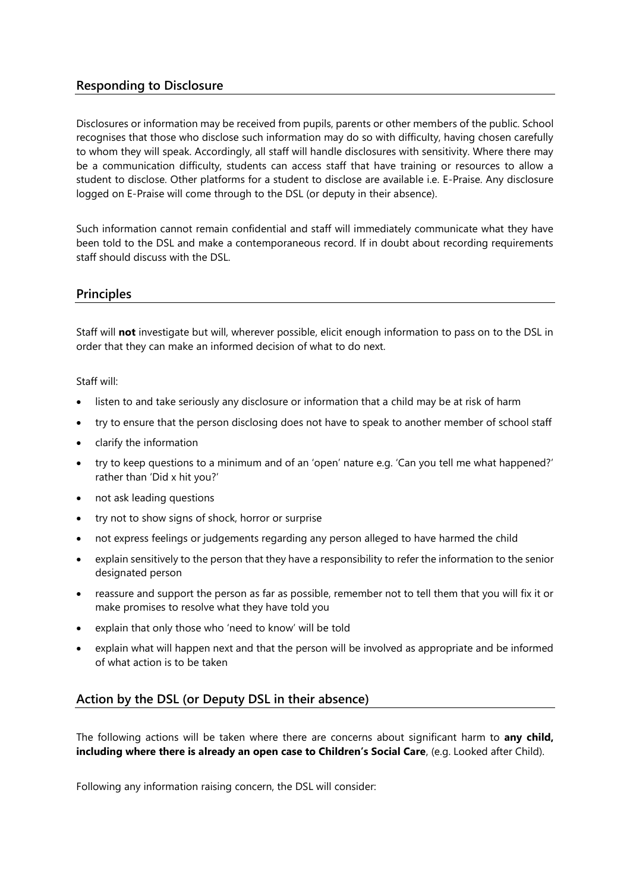# **Responding to Disclosure**

Disclosures or information may be received from pupils, parents or other members of the public. School recognises that those who disclose such information may do so with difficulty, having chosen carefully to whom they will speak. Accordingly, all staff will handle disclosures with sensitivity. Where there may be a communication difficulty, students can access staff that have training or resources to allow a student to disclose. Other platforms for a student to disclose are available i.e. E-Praise. Any disclosure logged on E-Praise will come through to the DSL (or deputy in their absence).

Such information cannot remain confidential and staff will immediately communicate what they have been told to the DSL and make a contemporaneous record. If in doubt about recording requirements staff should discuss with the DSL.

### **Principles**

Staff will **not** investigate but will, wherever possible, elicit enough information to pass on to the DSL in order that they can make an informed decision of what to do next.

Staff will:

- listen to and take seriously any disclosure or information that a child may be at risk of harm
- try to ensure that the person disclosing does not have to speak to another member of school staff
- clarify the information
- try to keep questions to a minimum and of an 'open' nature e.g. 'Can you tell me what happened?' rather than 'Did x hit you?'
- not ask leading questions
- try not to show signs of shock, horror or surprise
- not express feelings or judgements regarding any person alleged to have harmed the child
- explain sensitively to the person that they have a responsibility to refer the information to the senior designated person
- reassure and support the person as far as possible, remember not to tell them that you will fix it or make promises to resolve what they have told you
- explain that only those who 'need to know' will be told
- explain what will happen next and that the person will be involved as appropriate and be informed of what action is to be taken

# **Action by the DSL (or Deputy DSL in their absence)**

The following actions will be taken where there are concerns about significant harm to **any child, including where there is already an open case to Children's Social Care**, (e.g. Looked after Child).

Following any information raising concern, the DSL will consider: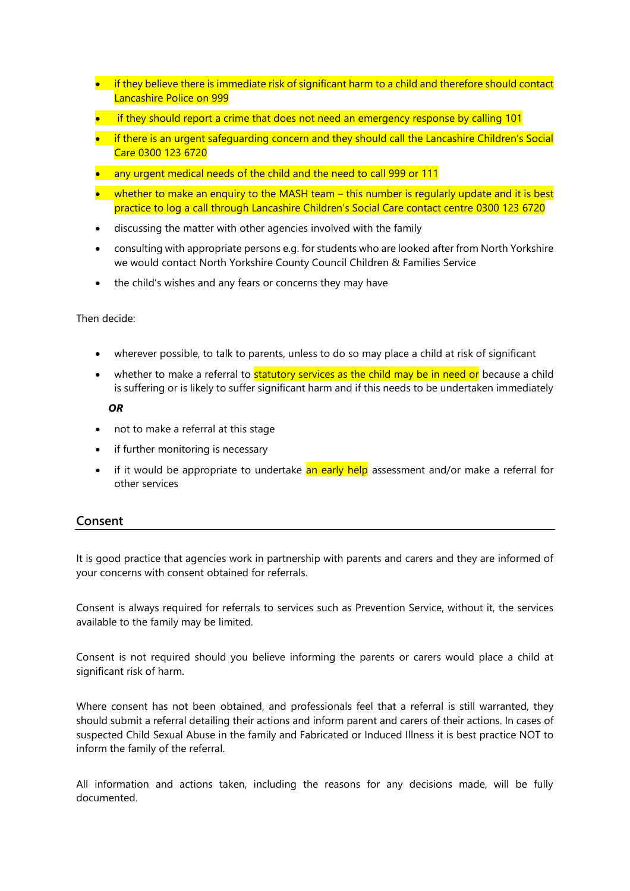- if they believe there is immediate risk of significant harm to a child and therefore should contact Lancashire Police on 999
- if they should report a crime that does not need an emergency response by calling 101
- if there is an urgent safeguarding concern and they should call the Lancashire Children's Social Care 0300 123 6720
- any urgent medical needs of the child and the need to call 999 or 111
- whether to make an enquiry to the MASH team this number is regularly update and it is best practice to log a call through Lancashire Children's Social Care contact centre 0300 123 6720
- discussing the matter with other agencies involved with the family
- consulting with appropriate persons e.g. for students who are looked after from North Yorkshire we would contact North Yorkshire County Council Children & Families Service
- the child's wishes and any fears or concerns they may have

Then decide:

- wherever possible, to talk to parents, unless to do so may place a child at risk of significant
- whether to make a referral to **statutory services as the child may be in need or** because a child is suffering or is likely to suffer significant harm and if this needs to be undertaken immediately

 *OR*

- not to make a referral at this stage
- if further monitoring is necessary
- if it would be appropriate to undertake an early help assessment and/or make a referral for other services

### **Consent**

It is good practice that agencies work in partnership with parents and carers and they are informed of your concerns with consent obtained for referrals.

Consent is always required for referrals to services such as Prevention Service, without it, the services available to the family may be limited.

Consent is not required should you believe informing the parents or carers would place a child at significant risk of harm.

Where consent has not been obtained, and professionals feel that a referral is still warranted, they should submit a referral detailing their actions and inform parent and carers of their actions. In cases of suspected Child Sexual Abuse in the family and Fabricated or Induced Illness it is best practice NOT to inform the family of the referral.

All information and actions taken, including the reasons for any decisions made, will be fully documented.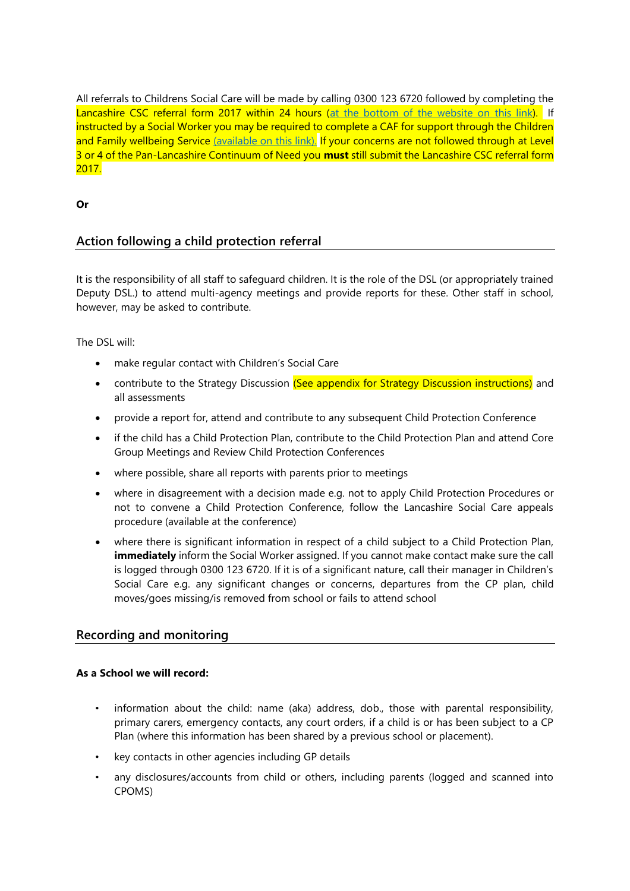All referrals to Childrens Social Care will be made by calling 0300 123 6720 followed by completing the Lancashire CSC referral form 2017 within 24 hours [\(at the bottom of the website on](http://www.lancashiresafeguarding.org.uk/resources/assessment-and-referral.aspx) this link). If instructed by a Social Worker you may be required to complete a CAF for support through the Children and Family wellbeing Service [\(available on](http://www.lancashiresafeguarding.org.uk/resources/assessment-and-referral.aspx) this link). If your concerns are not followed through at Level 3 or 4 of the Pan-Lancashire Continuum of Need you **must** still submit the Lancashire CSC referral form 2017.

### **Or**

# **Action following a child protection referral**

It is the responsibility of all staff to safeguard children. It is the role of the DSL (or appropriately trained Deputy DSL.) to attend multi-agency meetings and provide reports for these. Other staff in school, however, may be asked to contribute.

The DSL will:

- make regular contact with Children's Social Care
- contribute to the Strategy Discussion (See appendix for Strategy Discussion instructions) and all assessments
- provide a report for, attend and contribute to any subsequent Child Protection Conference
- if the child has a Child Protection Plan, contribute to the Child Protection Plan and attend Core Group Meetings and Review Child Protection Conferences
- where possible, share all reports with parents prior to meetings
- where in disagreement with a decision made e.g. not to apply Child Protection Procedures or not to convene a Child Protection Conference, follow the Lancashire Social Care appeals procedure (available at the conference)
- where there is significant information in respect of a child subject to a Child Protection Plan, **immediately** inform the Social Worker assigned. If you cannot make contact make sure the call is logged through 0300 123 6720. If it is of a significant nature, call their manager in Children's Social Care e.g. any significant changes or concerns, departures from the CP plan, child moves/goes missing/is removed from school or fails to attend school

# **Recording and monitoring**

### **As a School we will record:**

- information about the child: name (aka) address, dob., those with parental responsibility, primary carers, emergency contacts, any court orders, if a child is or has been subject to a CP Plan (where this information has been shared by a previous school or placement).
- key contacts in other agencies including GP details
- any disclosures/accounts from child or others, including parents (logged and scanned into CPOMS)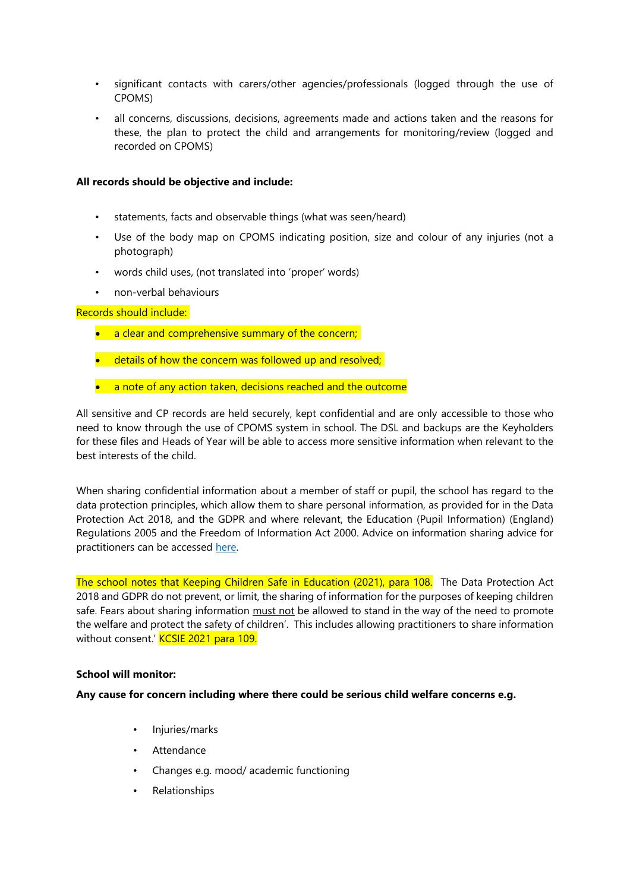- significant contacts with carers/other agencies/professionals (logged through the use of CPOMS)
- all concerns, discussions, decisions, agreements made and actions taken and the reasons for these, the plan to protect the child and arrangements for monitoring/review (logged and recorded on CPOMS)

#### **All records should be objective and include:**

- statements, facts and observable things (what was seen/heard)
- Use of the body map on CPOMS indicating position, size and colour of any injuries (not a photograph)
- words child uses, (not translated into 'proper' words)
- non-verbal behaviours

Records should include:

- a clear and comprehensive summary of the concern;
- details of how the concern was followed up and resolved;
- a note of any action taken, decisions reached and the outcome

All sensitive and CP records are held securely, kept confidential and are only accessible to those who need to know through the use of CPOMS system in school. The DSL and backups are the Keyholders for these files and Heads of Year will be able to access more sensitive information when relevant to the best interests of the child.

When sharing confidential information about a member of staff or pupil, the school has regard to the data protection principles, which allow them to share personal information, as provided for in the Data Protection Act 2018, and the GDPR and where relevant, the Education (Pupil Information) (England) Regulations 2005 and the Freedom of Information Act 2000. Advice on information sharing advice for practitioners can be accessed [here.](https://www.gov.uk/government/publications/safeguarding-practitioners-information-sharing-advice)

The school notes that Keeping Children Safe in Education (2021), para 108. The Data Protection Act 2018 and GDPR do not prevent, or limit, the sharing of information for the purposes of keeping children safe. Fears about sharing information must not be allowed to stand in the way of the need to promote the welfare and protect the safety of children'. This includes allowing practitioners to share information without consent.' KCSIE 2021 para 109.

#### **School will monitor:**

#### **Any cause for concern including where there could be serious child welfare concerns e.g.**

- Injuries/marks
- **Attendance**
- Changes e.g. mood/ academic functioning
- Relationships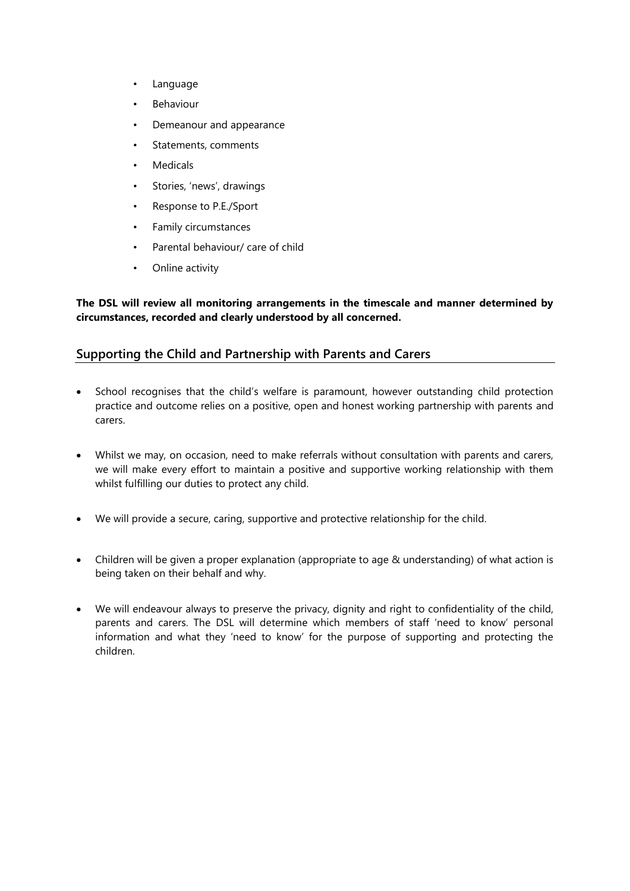- Language
- **Behaviour**
- Demeanour and appearance
- Statements, comments
- **Medicals**
- Stories, 'news', drawings
- Response to P.E./Sport
- Family circumstances
- Parental behaviour/ care of child
- Online activity

**The DSL will review all monitoring arrangements in the timescale and manner determined by circumstances, recorded and clearly understood by all concerned.**

# **Supporting the Child and Partnership with Parents and Carers**

- School recognises that the child's welfare is paramount, however outstanding child protection practice and outcome relies on a positive, open and honest working partnership with parents and carers.
- Whilst we may, on occasion, need to make referrals without consultation with parents and carers, we will make every effort to maintain a positive and supportive working relationship with them whilst fulfilling our duties to protect any child.
- We will provide a secure, caring, supportive and protective relationship for the child.
- Children will be given a proper explanation (appropriate to age & understanding) of what action is being taken on their behalf and why.
- We will endeavour always to preserve the privacy, dignity and right to confidentiality of the child, parents and carers. The DSL will determine which members of staff 'need to know' personal information and what they 'need to know' for the purpose of supporting and protecting the children.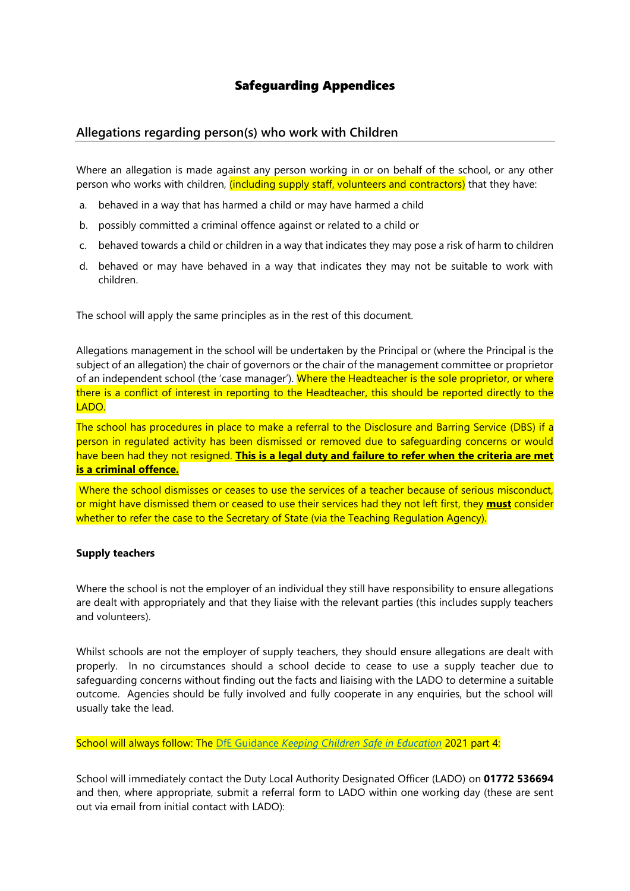# Safeguarding Appendices

# **Allegations regarding person(s) who work with Children**

Where an allegation is made against any person working in or on behalf of the school, or any other person who works with children, *(including supply staff, volunteers and contractors)* that they have:

- a. behaved in a way that has harmed a child or may have harmed a child
- b. possibly committed a criminal offence against or related to a child or
- c. behaved towards a child or children in a way that indicates they may pose a risk of harm to children
- d. behaved or may have behaved in a way that indicates they may not be suitable to work with children.

The school will apply the same principles as in the rest of this document.

Allegations management in the school will be undertaken by the Principal or (where the Principal is the subject of an allegation) the chair of governors or the chair of the management committee or proprietor of an independent school (the 'case manager'). Where the Headteacher is the sole proprietor, or where there is a conflict of interest in reporting to the Headteacher, this should be reported directly to the LADO.

The school has procedures in place to make a referral to the Disclosure and Barring Service (DBS) if a person in regulated activity has been dismissed or removed due to safeguarding concerns or would have been had they not resigned. **This is a legal duty and failure to refer when the criteria are met is a criminal offence.**

Where the school dismisses or ceases to use the services of a teacher because of serious misconduct, or might have dismissed them or ceased to use their services had they not left first, they **must** consider whether to refer the case to the Secretary of State (via the Teaching Regulation Agency).

#### **Supply teachers**

Where the school is not the employer of an individual they still have responsibility to ensure allegations are dealt with appropriately and that they liaise with the relevant parties (this includes supply teachers and volunteers).

Whilst schools are not the employer of supply teachers, they should ensure allegations are dealt with properly. In no circumstances should a school decide to cease to use a supply teacher due to safeguarding concerns without finding out the facts and liaising with the LADO to determine a suitable outcome. Agencies should be fully involved and fully cooperate in any enquiries, but the school will usually take the lead.

#### School will always follow: The DfE Guidance *[Keeping Children Safe in Education](https://www.gov.uk/government/publications/keeping-children-safe-in-education--2)* 2021 part 4:

School will immediately contact the Duty Local Authority Designated Officer (LADO) on **01772 536694** and then, where appropriate, submit a referral form to LADO within one working day (these are sent out via email from initial contact with LADO):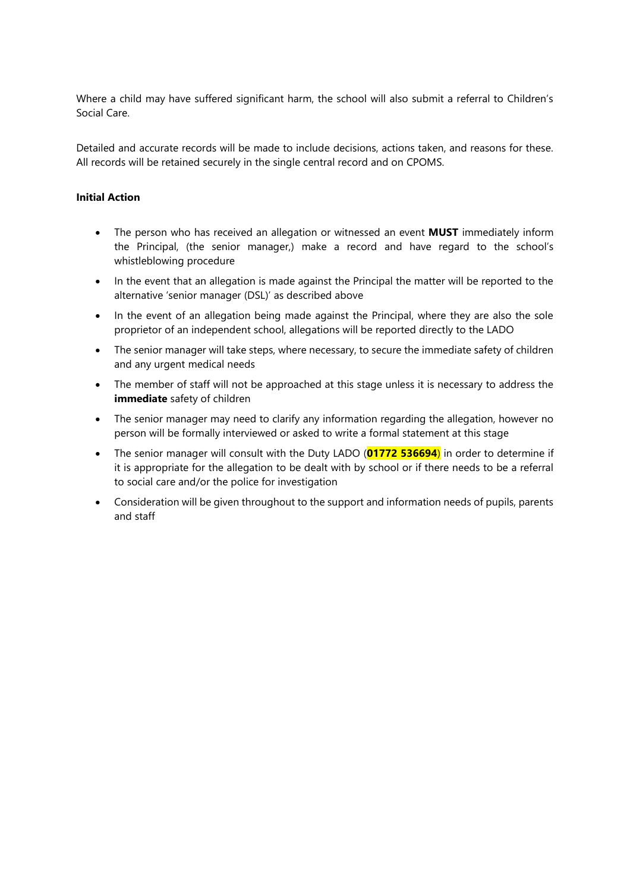Where a child may have suffered significant harm, the school will also submit a referral to Children's Social Care.

Detailed and accurate records will be made to include decisions, actions taken, and reasons for these. All records will be retained securely in the single central record and on CPOMS.

### **Initial Action**

- The person who has received an allegation or witnessed an event **MUST** immediately inform the Principal, (the senior manager,) make a record and have regard to the school's whistleblowing procedure
- In the event that an allegation is made against the Principal the matter will be reported to the alternative 'senior manager (DSL)' as described above
- In the event of an allegation being made against the Principal, where they are also the sole proprietor of an independent school, allegations will be reported directly to the LADO
- The senior manager will take steps, where necessary, to secure the immediate safety of children and any urgent medical needs
- The member of staff will not be approached at this stage unless it is necessary to address the **immediate** safety of children
- The senior manager may need to clarify any information regarding the allegation, however no person will be formally interviewed or asked to write a formal statement at this stage
- The senior manager will consult with the Duty LADO (**01772 536694**) in order to determine if it is appropriate for the allegation to be dealt with by school or if there needs to be a referral to social care and/or the police for investigation
- Consideration will be given throughout to the support and information needs of pupils, parents and staff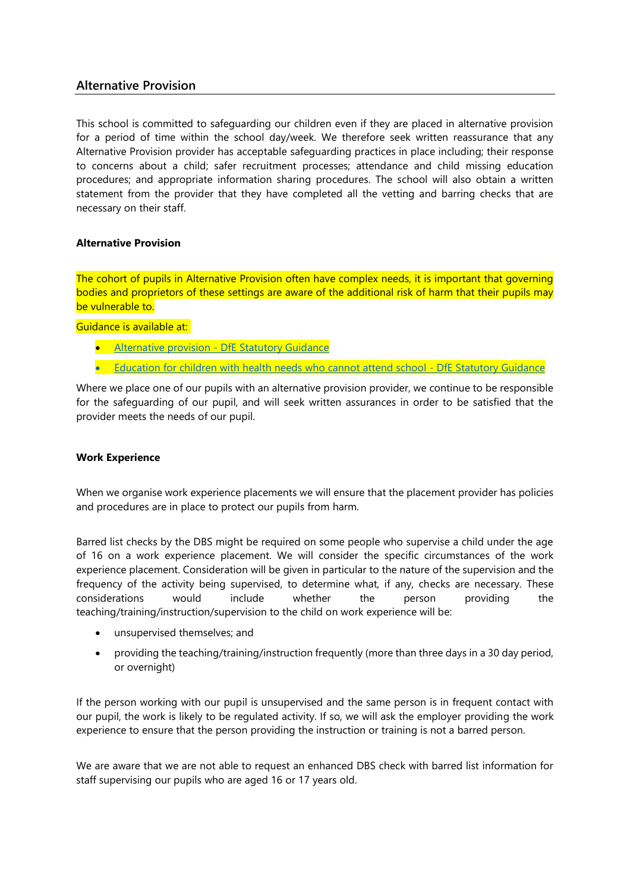# **Alternative Provision**

This school is committed to safeguarding our children even if they are placed in alternative provision for a period of time within the school day/week. We therefore seek written reassurance that any Alternative Provision provider has acceptable safeguarding practices in place including; their response to concerns about a child; safer recruitment processes; attendance and child missing education procedures; and appropriate information sharing procedures. The school will also obtain a written statement from the provider that they have completed all the vetting and barring checks that are necessary on their staff.

# **Alternative Provision**

The cohort of pupils in Alternative Provision often have complex needs, it is important that governing bodies and proprietors of these settings are aware of the additional risk of harm that their pupils may be vulnerable to.

Guidance is available at:

- Alternative provision [DfE Statutory Guidance](https://www.gov.uk/government/publications/alternative-provision)
- [Education for children with health needs who cannot attend school -](https://www.gov.uk/government/publications/education-for-children-with-health-needs-who-cannot-attend-school) DfE Statutory Guidance

Where we place one of our pupils with an alternative provision provider, we continue to be responsible for the safeguarding of our pupil, and will seek written assurances in order to be satisfied that the provider meets the needs of our pupil.

### **Work Experience**

When we organise work experience placements we will ensure that the placement provider has policies and procedures are in place to protect our pupils from harm.

Barred list checks by the DBS might be required on some people who supervise a child under the age of 16 on a work experience placement. We will consider the specific circumstances of the work experience placement. Consideration will be given in particular to the nature of the supervision and the frequency of the activity being supervised, to determine what, if any, checks are necessary. These considerations would include whether the person providing the teaching/training/instruction/supervision to the child on work experience will be:

- unsupervised themselves; and
- providing the teaching/training/instruction frequently (more than three days in a 30 day period, or overnight)

If the person working with our pupil is unsupervised and the same person is in frequent contact with our pupil, the work is likely to be regulated activity. If so, we will ask the employer providing the work experience to ensure that the person providing the instruction or training is not a barred person.

We are aware that we are not able to request an enhanced DBS check with barred list information for staff supervising our pupils who are aged 16 or 17 years old.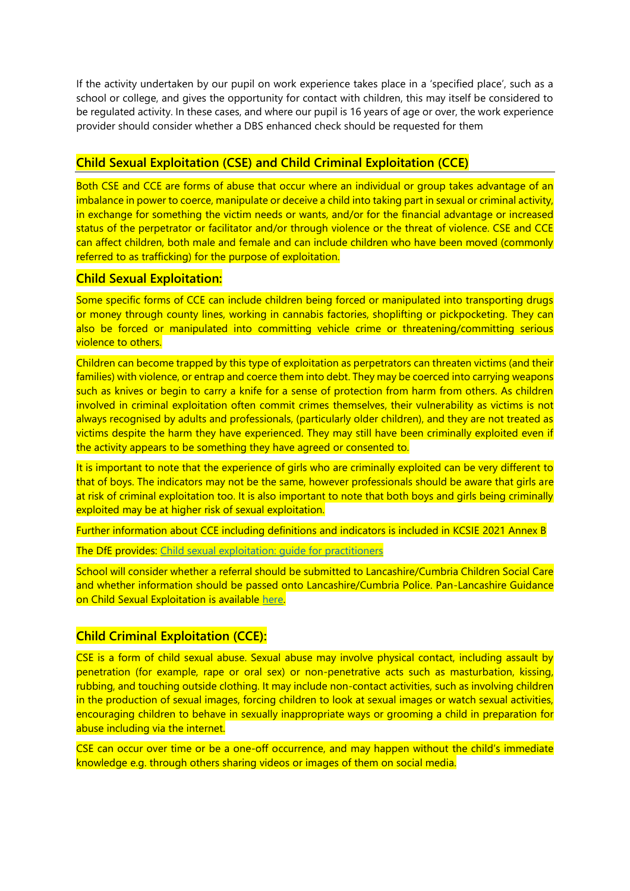If the activity undertaken by our pupil on work experience takes place in a 'specified place', such as a school or college, and gives the opportunity for contact with children, this may itself be considered to be regulated activity. In these cases, and where our pupil is 16 years of age or over, the work experience provider should consider whether a DBS enhanced check should be requested for them

# **Child Sexual Exploitation (CSE) and Child Criminal Exploitation (CCE)**

Both CSE and CCE are forms of abuse that occur where an individual or group takes advantage of an imbalance in power to coerce, manipulate or deceive a child into taking part in sexual or criminal activity, in exchange for something the victim needs or wants, and/or for the financial advantage or increased status of the perpetrator or facilitator and/or through violence or the threat of violence. CSE and CCE can affect children, both male and female and can include children who have been moved (commonly referred to as trafficking) for the purpose of exploitation.

### **Child Sexual Exploitation:**

Some specific forms of CCE can include children being forced or manipulated into transporting drugs or money through county lines, working in cannabis factories, shoplifting or pickpocketing. They can also be forced or manipulated into committing vehicle crime or threatening/committing serious violence to others.

Children can become trapped by this type of exploitation as perpetrators can threaten victims (and their families) with violence, or entrap and coerce them into debt. They may be coerced into carrying weapons such as knives or begin to carry a knife for a sense of protection from harm from others. As children involved in criminal exploitation often commit crimes themselves, their vulnerability as victims is not always recognised by adults and professionals, (particularly older children), and they are not treated as victims despite the harm they have experienced. They may still have been criminally exploited even if the activity appears to be something they have agreed or consented to.

It is important to note that the experience of girls who are criminally exploited can be very different to that of boys. The indicators may not be the same, however professionals should be aware that girls are at risk of criminal exploitation too. It is also important to note that both boys and girls being criminally exploited may be at higher risk of sexual exploitation.

Further information about CCE including definitions and indicators is included in KCSIE 2021 Annex B

The DfE provides: [Child sexual exploitation: guide for practitioners](https://www.gov.uk/government/publications/child-sexual-exploitation-definition-and-guide-for-practitioners)

School will consider whether a referral should be submitted to Lancashire/Cumbria Children Social Care and whether information should be passed onto Lancashire/Cumbria Police. Pan-Lancashire Guidance on Child Sexual Exploitation is available [here.](https://panlancashirescb.proceduresonline.com/chapters/p_child_sex_exp.html)

# **Child Criminal Exploitation (CCE):**

CSE is a form of child sexual abuse. Sexual abuse may involve physical contact, including assault by penetration (for example, rape or oral sex) or non-penetrative acts such as masturbation, kissing, rubbing, and touching outside clothing. It may include non-contact activities, such as involving children in the production of sexual images, forcing children to look at sexual images or watch sexual activities, encouraging children to behave in sexually inappropriate ways or grooming a child in preparation for abuse including via the internet.

CSE can occur over time or be a one-off occurrence, and may happen without the child's immediate knowledge e.g. through others sharing videos or images of them on social media.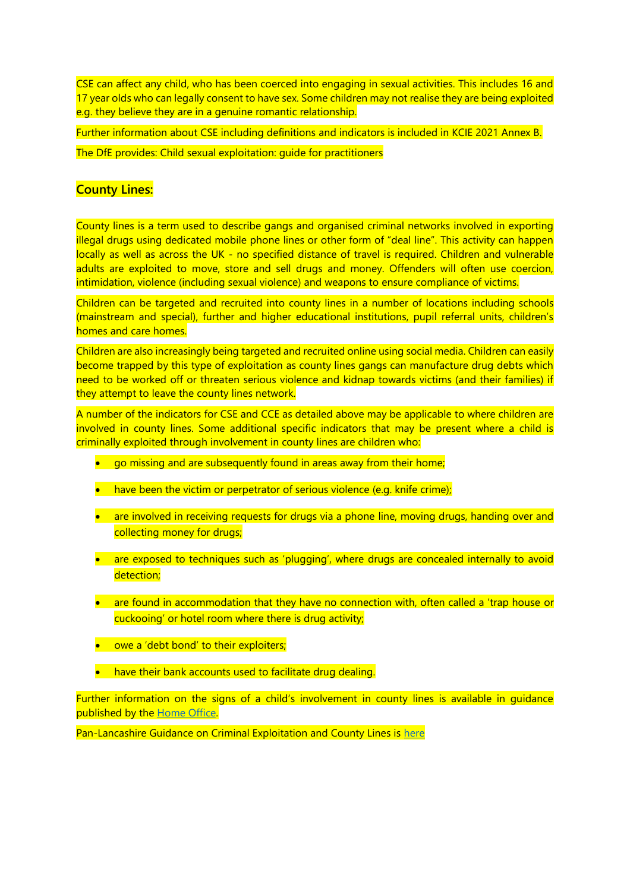CSE can affect any child, who has been coerced into engaging in sexual activities. This includes 16 and 17 year olds who can legally consent to have sex. Some children may not realise they are being exploited e.g. they believe they are in a genuine romantic relationship.

Further information about CSE including definitions and indicators is included in KCIE 2021 Annex B.

The DfE provides: Child sexual exploitation: guide for practitioners

# **County Lines:**

County lines is a term used to describe gangs and organised criminal networks involved in exporting illegal drugs using dedicated mobile phone lines or other form of "deal line". This activity can happen locally as well as across the UK - no specified distance of travel is required. Children and vulnerable adults are exploited to move, store and sell drugs and money. Offenders will often use coercion, intimidation, violence (including sexual violence) and weapons to ensure compliance of victims.

Children can be targeted and recruited into county lines in a number of locations including schools (mainstream and special), further and higher educational institutions, pupil referral units, children's homes and care homes.

Children are also increasingly being targeted and recruited online using social media. Children can easily become trapped by this type of exploitation as county lines gangs can manufacture drug debts which need to be worked off or threaten serious violence and kidnap towards victims (and their families) if they attempt to leave the county lines network.

A number of the indicators for CSE and CCE as detailed above may be applicable to where children are involved in county lines. Some additional specific indicators that may be present where a child is criminally exploited through involvement in county lines are children who:

- go missing and are subsequently found in areas away from their home;
- have been the victim or perpetrator of serious violence (e.g. knife crime);
- are involved in receiving requests for drugs via a phone line, moving drugs, handing over and collecting money for drugs;
- are exposed to techniques such as 'plugging', where drugs are concealed internally to avoid detection;
- are found in accommodation that they have no connection with, often called a 'trap house or cuckooing' or hotel room where there is drug activity;
- owe a 'debt bond' to their exploiters;
- have their bank accounts used to facilitate drug dealing.

Further information on the signs of a child's involvement in county lines is available in quidance published by the [Home Office.](https://assets.publishing.service.gov.uk/government/uploads/system/uploads/attachment_data/file/863323/HOCountyLinesGuidance_-_Sept2018.pdf)

Pan-Lancashire Guidance on Criminal Exploitation and County Lines is [here](https://panlancashirescb.proceduresonline.com/chapters/p_gang_activity.html?zoom_highlight=county+lines)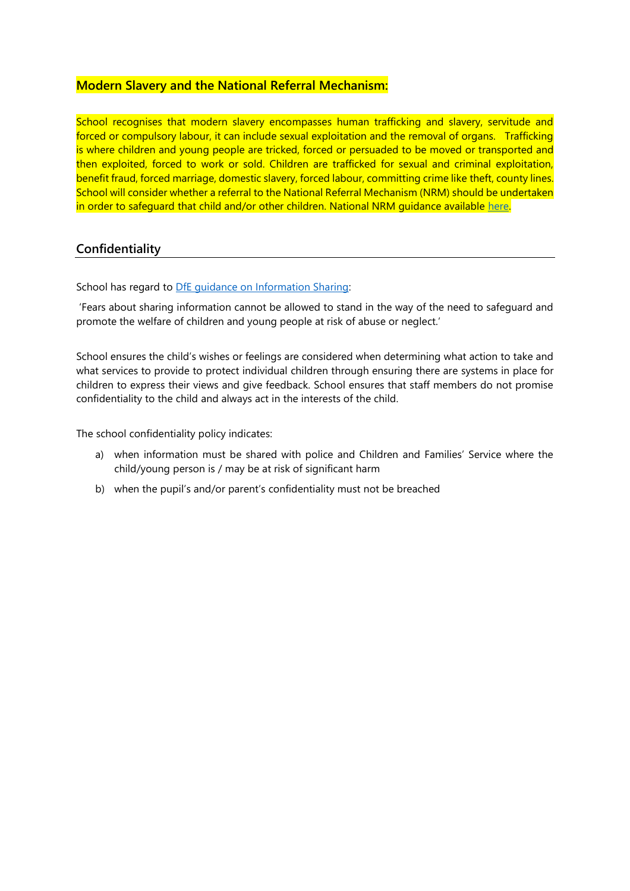# **Modern Slavery and the National Referral Mechanism:**

School recognises that modern slavery encompasses human trafficking and slavery, servitude and forced or compulsory labour, it can include sexual exploitation and the removal of organs. Trafficking is where children and young people are tricked, forced or persuaded to be moved or transported and then exploited, forced to work or sold. Children are trafficked for sexual and criminal exploitation, benefit fraud, forced marriage, domestic slavery, forced labour, committing crime like theft, county lines. School will consider whether a referral to the National Referral Mechanism (NRM) should be undertaken in order to safeguard that child and/or other children. National NRM guidance available [here.](https://www.gov.uk/government/publications/human-trafficking-victims-referral-and-assessment-forms/guidance-on-the-national-referral-mechanism-for-potential-adult-victims-of-modern-slavery-england-and-wales)

# **Confidentiality**

School has regard to [DfE guidance on Information Sharing:](https://www.gov.uk/government/publications/safeguarding-practitioners-information-sharing-advice)

'Fears about sharing information cannot be allowed to stand in the way of the need to safeguard and promote the welfare of children and young people at risk of abuse or neglect.'

School ensures the child's wishes or feelings are considered when determining what action to take and what services to provide to protect individual children through ensuring there are systems in place for children to express their views and give feedback. School ensures that staff members do not promise confidentiality to the child and always act in the interests of the child.

The school confidentiality policy indicates:

- a) when information must be shared with police and Children and Families' Service where the child/young person is / may be at risk of significant harm
- b) when the pupil's and/or parent's confidentiality must not be breached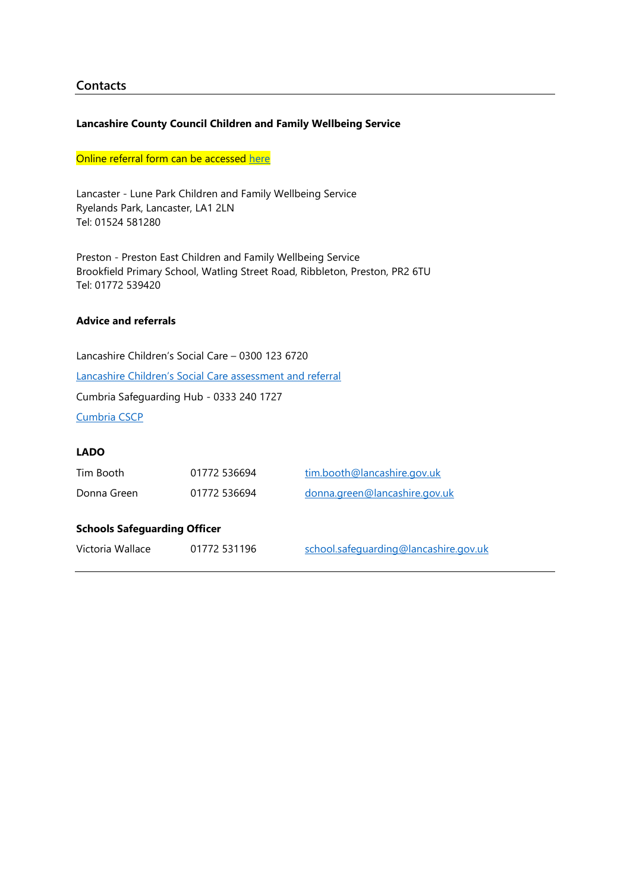# **Contacts**

### **Lancashire County Council Children and Family Wellbeing Service**

### Online referral form can be accessed [here](https://lancashire-self.achieveservice.com/service/CFWS_Request_for_Support)

Lancaster - Lune Park Children and Family Wellbeing Service Ryelands Park, Lancaster, LA1 2LN Tel: 01524 581280

Preston - Preston East Children and Family Wellbeing Service Brookfield Primary School, Watling Street Road, Ribbleton, Preston, PR2 6TU Tel: 01772 539420

### **Advice and referrals**

Lancashire Children's Social Care – 0300 123 6720 [Lancashire Children's Social Care assessment and referral](http://www.lancashiresafeguarding.org.uk/resources/assessment-and-referral.aspx#:~:text=Referrals%20to%20Children) Cumbria Safeguarding Hub - 0333 240 1727 [Cumbria CSCP](https://www.cumbriasafeguardingchildren.co.uk/professionals/default.asp)

### **LADO**

| Tim Booth                           | 01772 536694 | tim.booth@lancashire.gov.uk           |
|-------------------------------------|--------------|---------------------------------------|
| Donna Green                         | 01772 536694 | donna.green@lancashire.gov.uk         |
| <b>Schools Safeguarding Officer</b> |              |                                       |
| Victoria Wallace                    | 01772 531196 | school.safequarding@lancashire.gov.uk |
|                                     |              |                                       |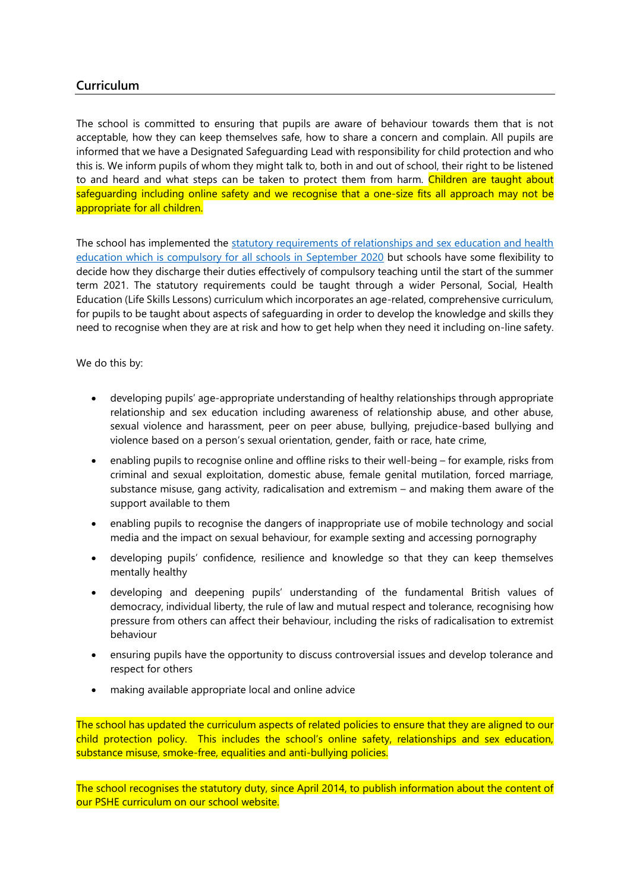# **Curriculum**

The school is committed to ensuring that pupils are aware of behaviour towards them that is not acceptable, how they can keep themselves safe, how to share a concern and complain. All pupils are informed that we have a Designated Safeguarding Lead with responsibility for child protection and who this is. We inform pupils of whom they might talk to, both in and out of school, their right to be listened to and heard and what steps can be taken to protect them from harm. Children are taught about safeguarding including online safety and we recognise that a one-size fits all approach may not be appropriate for all children.

The school has implemented the [statutory requirements of relationships and sex education and health](https://www.gov.uk/government/publications/relationships-education-relationships-and-sex-education-rse-and-health-education)  [education which is compulsory for all schools in September 2020](https://www.gov.uk/government/publications/relationships-education-relationships-and-sex-education-rse-and-health-education) but schools have some flexibility to decide how they discharge their duties effectively of compulsory teaching until the start of the summer term 2021. The statutory requirements could be taught through a wider Personal, Social, Health Education (Life Skills Lessons) curriculum which incorporates an age-related, comprehensive curriculum, for pupils to be taught about aspects of safeguarding in order to develop the knowledge and skills they need to recognise when they are at risk and how to get help when they need it including on-line safety.

We do this by:

- developing pupils' age-appropriate understanding of healthy relationships through appropriate relationship and sex education including awareness of relationship abuse, and other abuse, sexual violence and harassment, peer on peer abuse, bullying, prejudice-based bullying and violence based on a person's sexual orientation, gender, faith or race, hate crime,
- enabling pupils to recognise online and offline risks to their well-being for example, risks from criminal and sexual exploitation, domestic abuse, female genital mutilation, forced marriage, substance misuse, gang activity, radicalisation and extremism – and making them aware of the support available to them
- enabling pupils to recognise the dangers of inappropriate use of mobile technology and social media and the impact on sexual behaviour, for example sexting and accessing pornography
- developing pupils' confidence, resilience and knowledge so that they can keep themselves mentally healthy
- developing and deepening pupils' understanding of the fundamental British values of democracy, individual liberty, the rule of law and mutual respect and tolerance, recognising how pressure from others can affect their behaviour, including the risks of radicalisation to extremist behaviour
- ensuring pupils have the opportunity to discuss controversial issues and develop tolerance and respect for others
- making available appropriate local and online advice

The school has updated the curriculum aspects of related policies to ensure that they are aligned to our child protection policy. This includes the school's online safety, relationships and sex education, substance misuse, smoke-free, equalities and anti-bullying policies.

The school recognises the statutory duty, since April 2014, to publish information about the content of our PSHE curriculum on our school website.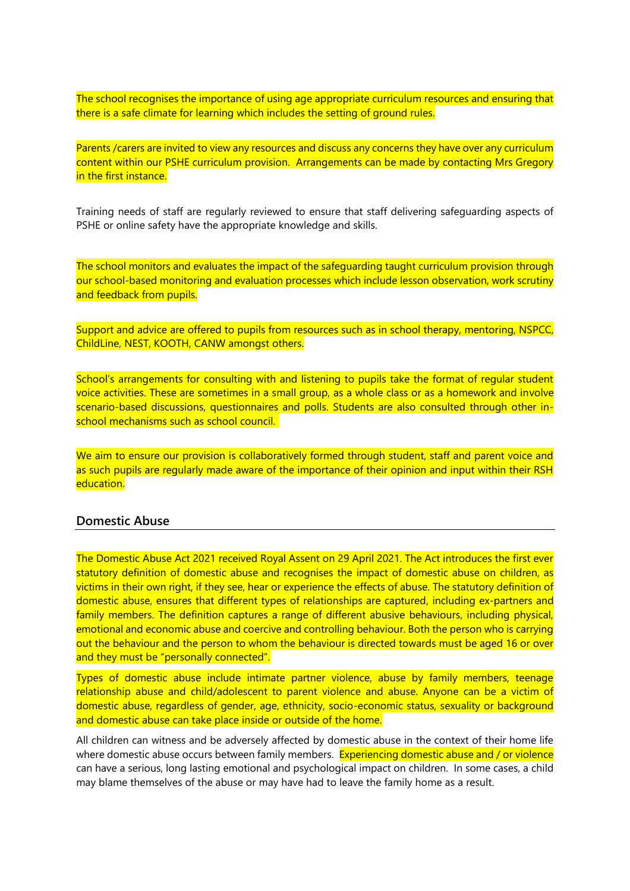The school recognises the importance of using age appropriate curriculum resources and ensuring that there is a safe climate for learning which includes the setting of ground rules.

Parents /carers are invited to view any resources and discuss any concerns they have over any curriculum content within our PSHE curriculum provision. Arrangements can be made by contacting Mrs Gregory in the first instance.

Training needs of staff are regularly reviewed to ensure that staff delivering safeguarding aspects of PSHE or online safety have the appropriate knowledge and skills.

The school monitors and evaluates the impact of the safeguarding taught curriculum provision through our school-based monitoring and evaluation processes which include lesson observation, work scrutiny and feedback from pupils.

Support and advice are offered to pupils from resources such as in school therapy, mentoring, NSPCC, ChildLine, NEST, KOOTH, CANW amongst others.

School's arrangements for consulting with and listening to pupils take the format of regular student voice activities. These are sometimes in a small group, as a whole class or as a homework and involve scenario-based discussions, questionnaires and polls. Students are also consulted through other inschool mechanisms such as school council.

We aim to ensure our provision is collaboratively formed through student, staff and parent voice and as such pupils are regularly made aware of the importance of their opinion and input within their RSH education.

# **Domestic Abuse**

The Domestic Abuse Act 2021 received Royal Assent on 29 April 2021. The Act introduces the first ever statutory definition of domestic abuse and recognises the impact of domestic abuse on children, as victims in their own right, if they see, hear or experience the effects of abuse. The statutory definition of domestic abuse, ensures that different types of relationships are captured, including ex-partners and family members. The definition captures a range of different abusive behaviours, including physical, emotional and economic abuse and coercive and controlling behaviour. Both the person who is carrying out the behaviour and the person to whom the behaviour is directed towards must be aged 16 or over and they must be "personally connected".

Types of domestic abuse include intimate partner violence, abuse by family members, teenage relationship abuse and child/adolescent to parent violence and abuse. Anyone can be a victim of domestic abuse, regardless of gender, age, ethnicity, socio-economic status, sexuality or background and domestic abuse can take place inside or outside of the home.

All children can witness and be adversely affected by domestic abuse in the context of their home life where domestic abuse occurs between family members. Experiencing domestic abuse and / or violence can have a serious, long lasting emotional and psychological impact on children. In some cases, a child may blame themselves of the abuse or may have had to leave the family home as a result.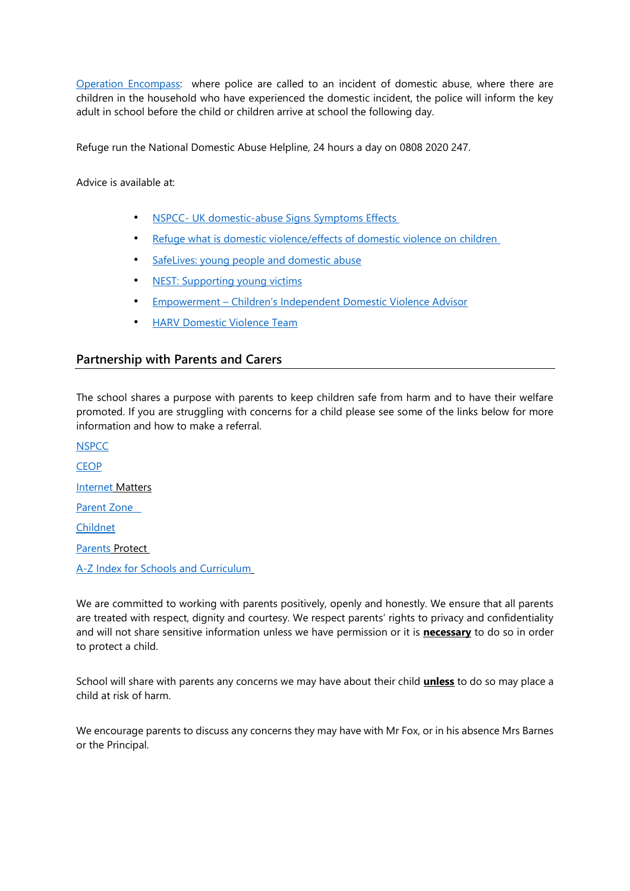[Operation Encompass:](https://www.operationencompass.org/) where police are called to an incident of domestic abuse, where there are children in the household who have experienced the domestic incident, the police will inform the key adult in school before the child or children arrive at school the following day.

Refuge run the National Domestic Abuse Helpline, 24 hours a day on 0808 2020 247.

Advice is available at:

- NSPCC- [UK domestic-abuse Signs Symptoms Effects](https://www.nspcc.org.uk/preventing-abuse/child-abuse-and-neglect/domestic-abuse/signs-symptoms-effects/)
- [Refuge what is domestic violence/effects of domestic violence on children](http://www.refuge.org.uk/get-help-now/what-is-domestic-violence/effects-of-domestic-violence-on-children/)
- [SafeLives: young people and domestic abuse](http://www.safelives.org.uk/knowledge-hub/spotlights/spotlight-3-young-people-and-domestic-abuse)
- [NEST: Supporting young victims](https://nestlancashire.org/)
- Empowerment [Children's Independent Domestic Violence Advisor](http://www.empowermentcharity.org.uk/)
- **[HARV Domestic Violence Team](http://www.harvoutreach.org.uk/)**

### **Partnership with Parents and Carers**

The school shares a purpose with parents to keep children safe from harm and to have their welfare promoted. If you are struggling with concerns for a child please see some of the links below for more information and how to make a referral.

**[NSPCC](http://www.nspcc.org.uk/) CEOP** [Internet](http://www.internetmatters.org/) Matters [Parent Zone](https://parentzone.org.uk/)  [Childnet](https://www.childnet.com/) [Parents](http://www.parentsprotect.co.uk/) Protect [A-Z Index for Schools and Curriculum](http://www.direct.gov.uk/en/Parents/Schoolslearninganddevelopment/YourChildsWelfareAtSchool/index.htm)

We are committed to working with parents positively, openly and honestly. We ensure that all parents are treated with respect, dignity and courtesy. We respect parents' rights to privacy and confidentiality and will not share sensitive information unless we have permission or it is **necessary** to do so in order to protect a child.

School will share with parents any concerns we may have about their child **unless** to do so may place a child at risk of harm.

We encourage parents to discuss any concerns they may have with Mr Fox, or in his absence Mrs Barnes or the Principal.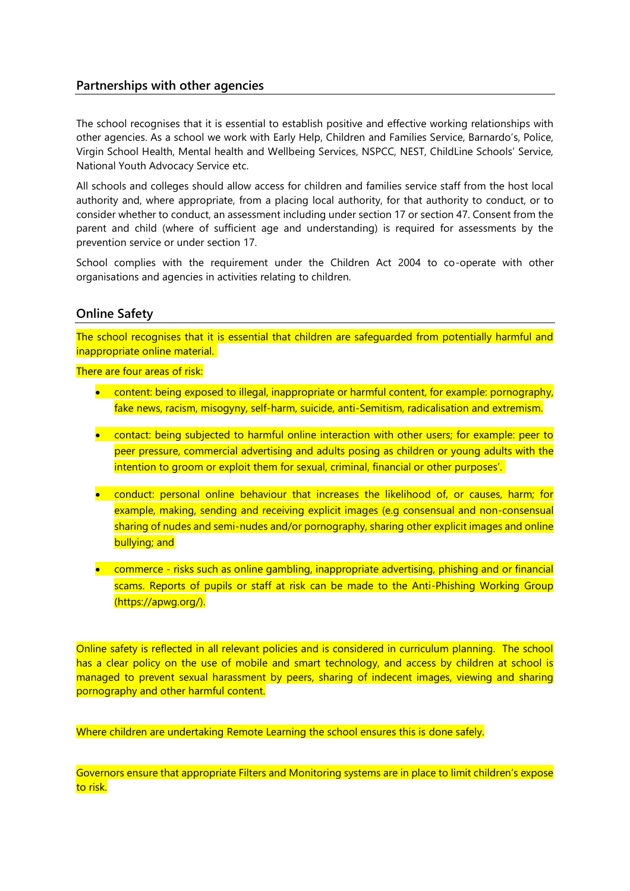# **Partnerships with other agencies**

The school recognises that it is essential to establish positive and effective working relationships with other agencies. As a school we work with Early Help, Children and Families Service, Barnardo's, Police, Virgin School Health, Mental health and Wellbeing Services, NSPCC, NEST, ChildLine Schools' Service, National Youth Advocacy Service etc.

All schools and colleges should allow access for children and families service staff from the host local authority and, where appropriate, from a placing local authority, for that authority to conduct, or to consider whether to conduct, an assessment including under section 17 or section 47. Consent from the parent and child (where of sufficient age and understanding) is required for assessments by the prevention service or under section 17.

School complies with the requirement under the Children Act 2004 to co-operate with other organisations and agencies in activities relating to children.

### **Online Safety**

The school recognises that it is essential that children are safeguarded from potentially harmful and inappropriate online material.

There are four areas of risk:

- content: being exposed to illegal, inappropriate or harmful content, for example: pornography, fake news, racism, misogyny, self-harm, suicide, anti-Semitism, radicalisation and extremism.
- contact: being subjected to harmful online interaction with other users; for example: peer to peer pressure, commercial advertising and adults posing as children or young adults with the intention to groom or exploit them for sexual, criminal, financial or other purposes'.
- conduct: personal online behaviour that increases the likelihood of, or causes, harm; for example, making, sending and receiving explicit images (e.g consensual and non-consensual sharing of nudes and semi-nudes and/or pornography, sharing other explicit images and online bullying; and
- commerce risks such as online gambling, inappropriate advertising, phishing and or financial scams. Reports of pupils or staff at risk can be made to the Anti-Phishing Working Group (https://apwg.org/).

Online safety is reflected in all relevant policies and is considered in curriculum planning. The school has a clear policy on the use of mobile and smart technology, and access by children at school is managed to prevent sexual harassment by peers, sharing of indecent images, viewing and sharing pornography and other harmful content.

Where children are undertaking Remote Learning the school ensures this is done safely.

Governors ensure that appropriate Filters and Monitoring systems are in place to limit children's expose to risk.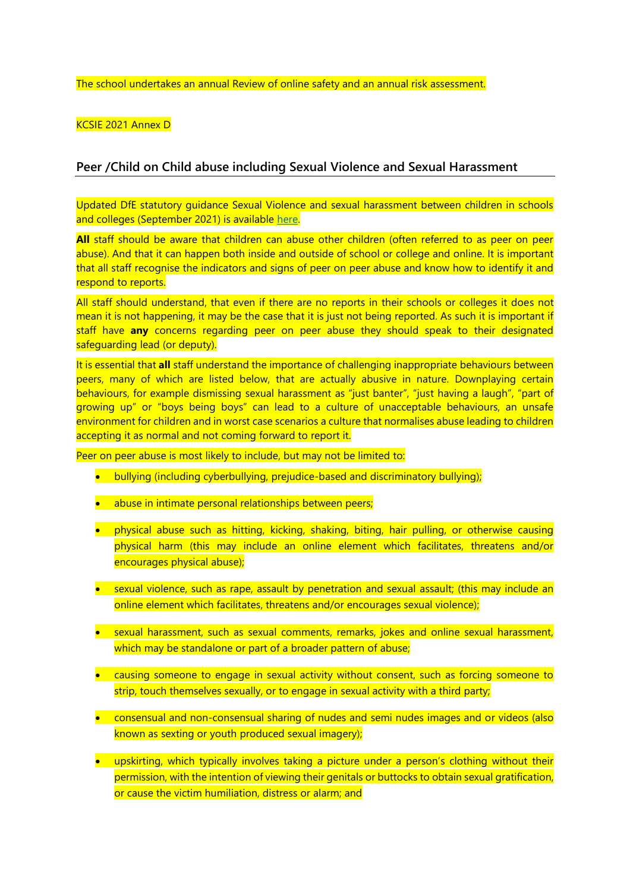The school undertakes an annual Review of online safety and an annual risk assessment.

KCSIE 2021 Annex D

### **Peer /Child on Child abuse including Sexual Violence and Sexual Harassment**

Updated DfE statutory guidance Sexual Violence and sexual harassment between children in schools and colleges (September 2021) is available [here.](https://www.gov.uk/government/publications/sexual-violence-and-sexual-harassment-between-children-in-schools-and-colleges)

**All** staff should be aware that children can abuse other children (often referred to as peer on peer abuse). And that it can happen both inside and outside of school or college and online. It is important that all staff recognise the indicators and signs of peer on peer abuse and know how to identify it and respond to reports.

All staff should understand, that even if there are no reports in their schools or colleges it does not mean it is not happening, it may be the case that it is just not being reported. As such it is important if staff have **any** concerns regarding peer on peer abuse they should speak to their designated safeguarding lead (or deputy).

It is essential that **all** staff understand the importance of challenging inappropriate behaviours between peers, many of which are listed below, that are actually abusive in nature. Downplaying certain behaviours, for example dismissing sexual harassment as "just banter", "just having a laugh", "part of growing up" or "boys being boys" can lead to a culture of unacceptable behaviours, an unsafe environment for children and in worst case scenarios a culture that normalises abuse leading to children accepting it as normal and not coming forward to report it.

Peer on peer abuse is most likely to include, but may not be limited to:

- bullying (including cyberbullying, prejudice-based and discriminatory bullying);
- abuse in intimate personal relationships between peers;
- physical abuse such as hitting, kicking, shaking, biting, hair pulling, or otherwise causing physical harm (this may include an online element which facilitates, threatens and/or encourages physical abuse);
- sexual violence, such as rape, assault by penetration and sexual assault; (this may include an online element which facilitates, threatens and/or encourages sexual violence);
- sexual harassment, such as sexual comments, remarks, jokes and online sexual harassment, which may be standalone or part of a broader pattern of abuse;
- causing someone to engage in sexual activity without consent, such as forcing someone to strip, touch themselves sexually, or to engage in sexual activity with a third party;
- consensual and non-consensual sharing of nudes and semi nudes images and or videos (also known as sexting or youth produced sexual imagery);
- upskirting, which typically involves taking a picture under a person's clothing without their permission, with the intention of viewing their genitals or buttocks to obtain sexual gratification, or cause the victim humiliation, distress or alarm; and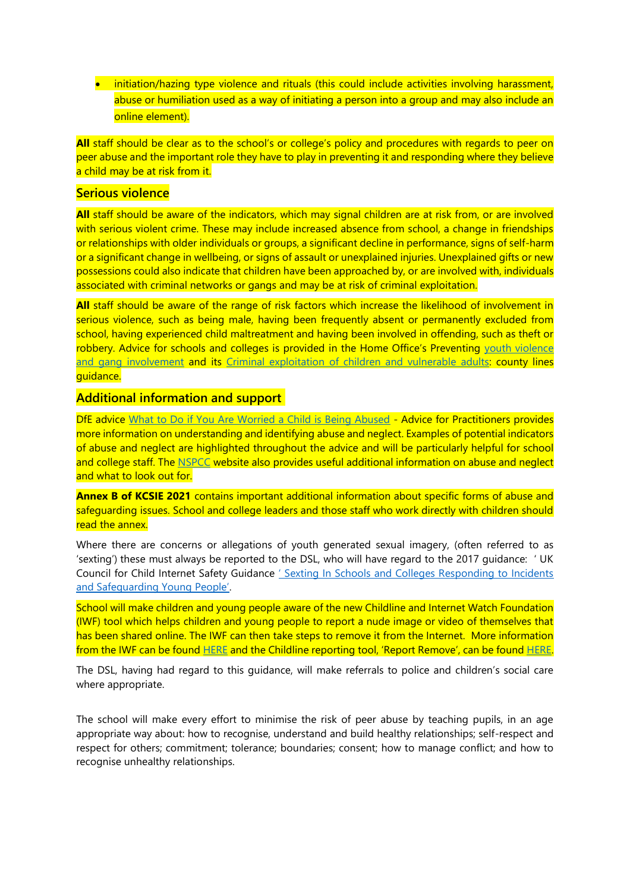• initiation/hazing type violence and rituals (this could include activities involving harassment, abuse or humiliation used as a way of initiating a person into a group and may also include an online element).

**All** staff should be clear as to the school's or college's policy and procedures with regards to peer on peer abuse and the important role they have to play in preventing it and responding where they believe a child may be at risk from it.

### **Serious violence**

All staff should be aware of the indicators, which may signal children are at risk from, or are involved with serious violent crime. These may include increased absence from school, a change in friendships or relationships with older individuals or groups, a significant decline in performance, signs of self-harm or a significant change in wellbeing, or signs of assault or unexplained injuries. Unexplained gifts or new possessions could also indicate that children have been approached by, or are involved with, individuals associated with criminal networks or gangs and may be at risk of criminal exploitation.

**All** staff should be aware of the range of risk factors which increase the likelihood of involvement in serious violence, such as being male, having been frequently absent or permanently excluded from school, having experienced child maltreatment and having been involved in offending, such as theft or robbery. Advice for schools and colleges is provided in the Home Office's Preventing youth violence [and gang involvement](https://www.gov.uk/government/publications/advice-to-schools-and-colleges-on-gangs-and-youth-violence) and its [Criminal exploitation of children and vulnerable adults:](https://www.gov.uk/government/publications/criminal-exploitation-of-children-and-vulnerable-adults-county-lines) county lines guidance.

### **Additional information and support**

DfE advice [What to Do if You Are Worried a Child is Being Abused](https://www.gov.uk/government/publications/what-to-do-if-youre-worried-a-child-is-being-abused--2) - Advice for Practitioners provides more information on understanding and identifying abuse and neglect. Examples of potential indicators of abuse and neglect are highlighted throughout the advice and will be particularly helpful for school and college staff. The [NSPCC](https://www.nspcc.org.uk/what-is-child-abuse/types-of-abuse/) website also provides useful additional information on abuse and neglect and what to look out for.

**Annex B of KCSIE 2021** contains important additional information about specific forms of abuse and safeguarding issues. School and college leaders and those staff who work directly with children should read the annex.

Where there are concerns or allegations of youth generated sexual imagery, (often referred to as 'sexting') these must always be reported to the DSL, who will have regard to the 2017 guidance: ' UK Council for Child Internet Safety Guidance ' Sexting In Schools and Colleges Responding to Incidents [and Safeguarding Young People'](https://www.gov.uk/government/uploads/system/uploads/attachment_data/file/609874/6_2939_SP_NCA_Sexting_In_Schools_FINAL_Update_Jan17.pdf).

School will make children and young people aware of the new Childline and Internet Watch Foundation (IWF) tool which helps children and young people to report a nude image or video of themselves that has been shared online. The IWF can then take steps to remove it from the Internet. More information from the IWF can be found [HERE](https://www.iwf.org.uk/news/new-tool-empowers-children-and-young-people-stop-spread-nude-images-online) and the Childline reporting tool, 'Report Remove', can be foun[d HERE.](https://www.childline.org.uk/info-advice/bullying-abuse-safety/online-mobile-safety/remove-nude-image-shared-online/)

The DSL, having had regard to this guidance, will make referrals to police and children's social care where appropriate.

The school will make every effort to minimise the risk of peer abuse by teaching pupils, in an age appropriate way about: how to recognise, understand and build healthy relationships; self-respect and respect for others; commitment; tolerance; boundaries; consent; how to manage conflict; and how to recognise unhealthy relationships.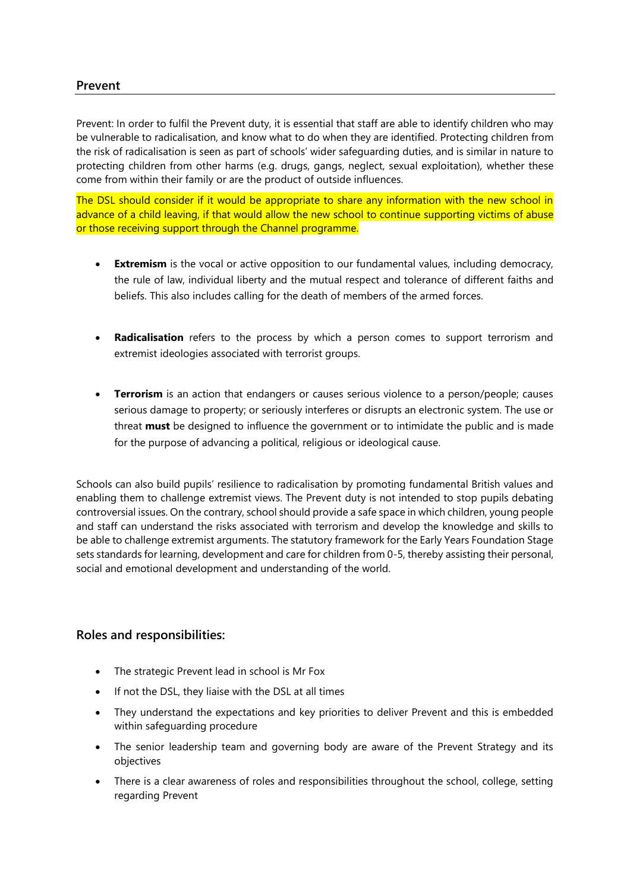Prevent: In order to fulfil the Prevent duty, it is essential that staff are able to identify children who may be vulnerable to radicalisation, and know what to do when they are identified. Protecting children from the risk of radicalisation is seen as part of schools' wider safeguarding duties, and is similar in nature to protecting children from other harms (e.g. drugs, gangs, neglect, sexual exploitation), whether these come from within their family or are the product of outside influences.

The DSL should consider if it would be appropriate to share any information with the new school in advance of a child leaving, if that would allow the new school to continue supporting victims of abuse or those receiving support through the Channel programme.

- **Extremism** is the vocal or active opposition to our fundamental values, including democracy, the rule of law, individual liberty and the mutual respect and tolerance of different faiths and beliefs. This also includes calling for the death of members of the armed forces.
- **Radicalisation** refers to the process by which a person comes to support terrorism and extremist ideologies associated with terrorist groups.
- **Terrorism** is an action that endangers or causes serious violence to a person/people; causes serious damage to property; or seriously interferes or disrupts an electronic system. The use or threat **must** be designed to influence the government or to intimidate the public and is made for the purpose of advancing a political, religious or ideological cause.

Schools can also build pupils' resilience to radicalisation by promoting fundamental British values and enabling them to challenge extremist views. The Prevent duty is not intended to stop pupils debating controversial issues. On the contrary, school should provide a safe space in which children, young people and staff can understand the risks associated with terrorism and develop the knowledge and skills to be able to challenge extremist arguments. The statutory framework for the Early Years Foundation Stage sets standards for learning, development and care for children from 0-5, thereby assisting their personal, social and emotional development and understanding of the world.

### **Roles and responsibilities:**

- The strategic Prevent lead in school is Mr Fox
- If not the DSL, they liaise with the DSL at all times
- They understand the expectations and key priorities to deliver Prevent and this is embedded within safeguarding procedure
- The senior leadership team and governing body are aware of the Prevent Strategy and its objectives
- There is a clear awareness of roles and responsibilities throughout the school, college, setting regarding Prevent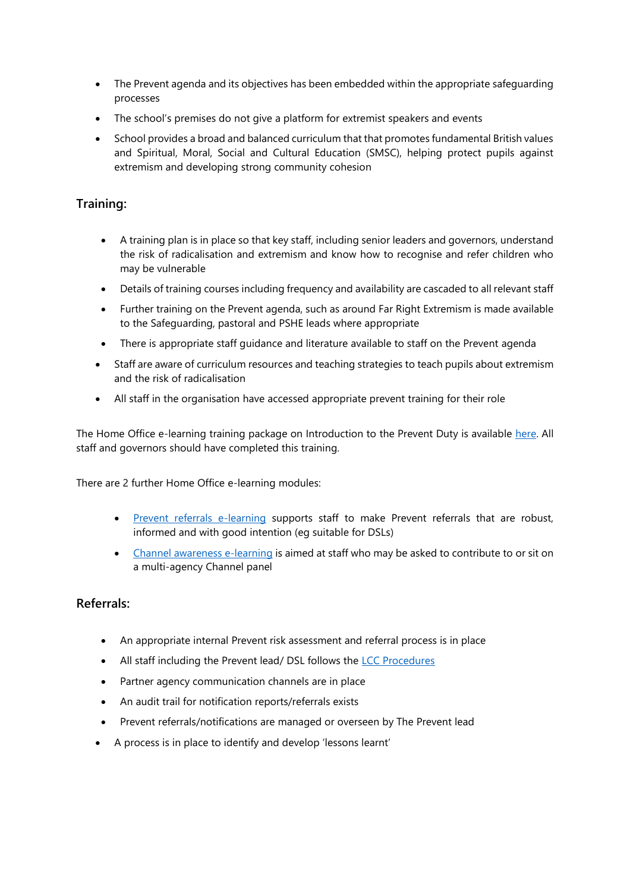- The Prevent agenda and its objectives has been embedded within the appropriate safeguarding processes
- The school's premises do not give a platform for extremist speakers and events
- School provides a broad and balanced curriculum that that promotes fundamental British values and Spiritual, Moral, Social and Cultural Education (SMSC), helping protect pupils against extremism and developing strong community cohesion

# **Training:**

- A training plan is in place so that key staff, including senior leaders and governors, understand the risk of radicalisation and extremism and know how to recognise and refer children who may be vulnerable
- Details of training courses including frequency and availability are cascaded to all relevant staff
- Further training on the Prevent agenda, such as around Far Right Extremism is made available to the Safeguarding, pastoral and PSHE leads where appropriate
- There is appropriate staff guidance and literature available to staff on the Prevent agenda
- Staff are aware of curriculum resources and teaching strategies to teach pupils about extremism and the risk of radicalisation
- All staff in the organisation have accessed appropriate prevent training for their role

The Home Office e-learning training package on Introduction to the Prevent Duty is available [here.](https://www.elearning.prevent.homeoffice.gov.uk/edu/screen1.html) All staff and governors should have completed this training.

There are 2 further Home Office e-learning modules:

- [Prevent referrals e-learning](https://www.elearning.prevent.homeoffice.gov.uk/prevent_referrals/01-welcome.html) supports staff to make Prevent referrals that are robust, informed and with good intention (eg suitable for DSLs)
- [Channel awareness e-learning](https://www.elearning.prevent.homeoffice.gov.uk/channel_awareness/01-welcome.html) is aimed at staff who may be asked to contribute to or sit on a multi-agency Channel panel

# **Referrals:**

- An appropriate internal Prevent risk assessment and referral process is in place
- All staff including the Prevent lead/ DSL follows the [LCC Procedures](https://www.lancashire.gov.uk/media/911148/lancashire-schools-prevent-handbook.pdf)
- Partner agency communication channels are in place
- An audit trail for notification reports/referrals exists
- Prevent referrals/notifications are managed or overseen by The Prevent lead
- A process is in place to identify and develop 'lessons learnt'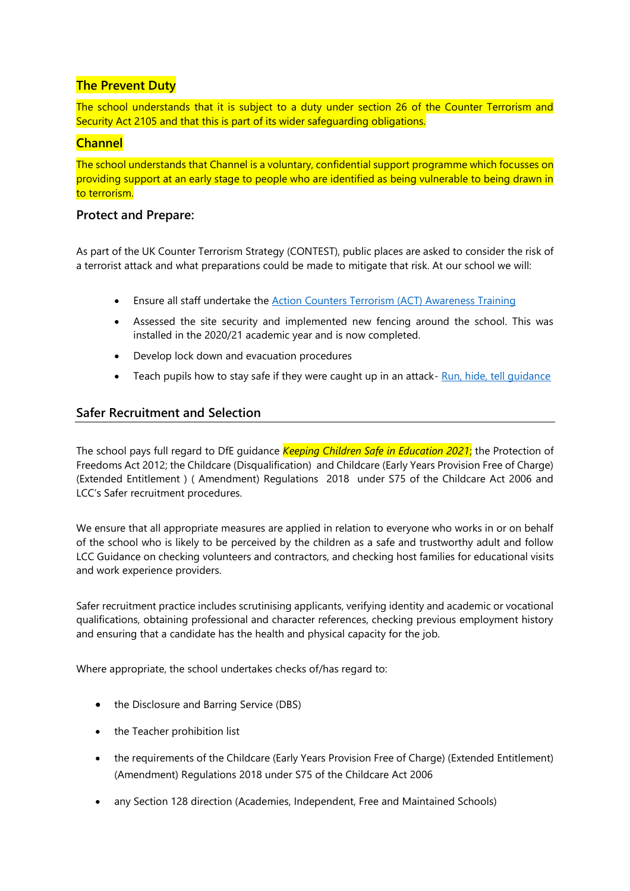# **The Prevent Duty**

The school understands that it is subject to a duty under section 26 of the Counter Terrorism and Security Act 2105 and that this is part of its wider safeguarding obligations.

# **Channel**

The school understands that Channel is a voluntary, confidential support programme which focusses on providing support at an early stage to people who are identified as being vulnerable to being drawn in to terrorism.

# **Protect and Prepare:**

As part of the UK Counter Terrorism Strategy (CONTEST), public places are asked to consider the risk of a terrorist attack and what preparations could be made to mitigate that risk. At our school we will:

- Ensure all staff undertake the **Action Counters Terrorism (ACT) Awareness Training**
- Assessed the site security and implemented new fencing around the school. This was installed in the 2020/21 academic year and is now completed.
- Develop lock down and evacuation procedures
- Teach pupils how to stay safe if they were caught up in an attack- Run, hide, tell quidance

# **Safer Recruitment and Selection**

The school pays full regard to DfE guidance *Keeping Children Safe in Education 2021*; the Protection of Freedoms Act 2012; the Childcare (Disqualification) and Childcare (Early Years Provision Free of Charge) (Extended Entitlement ) ( Amendment) Regulations 2018 under S75 of the Childcare Act 2006 and LCC's Safer recruitment procedures.

We ensure that all appropriate measures are applied in relation to everyone who works in or on behalf of the school who is likely to be perceived by the children as a safe and trustworthy adult and follow LCC Guidance on checking volunteers and contractors, and checking host families for educational visits and work experience providers.

Safer recruitment practice includes scrutinising applicants, verifying identity and academic or vocational qualifications, obtaining professional and character references, checking previous employment history and ensuring that a candidate has the health and physical capacity for the job.

Where appropriate, the school undertakes checks of/has regard to:

- the Disclosure and Barring Service (DBS)
- the Teacher prohibition list
- the requirements of the Childcare (Early Years Provision Free of Charge) (Extended Entitlement) (Amendment) Regulations 2018 under S75 of the Childcare Act 2006
- any Section 128 direction (Academies, Independent, Free and Maintained Schools)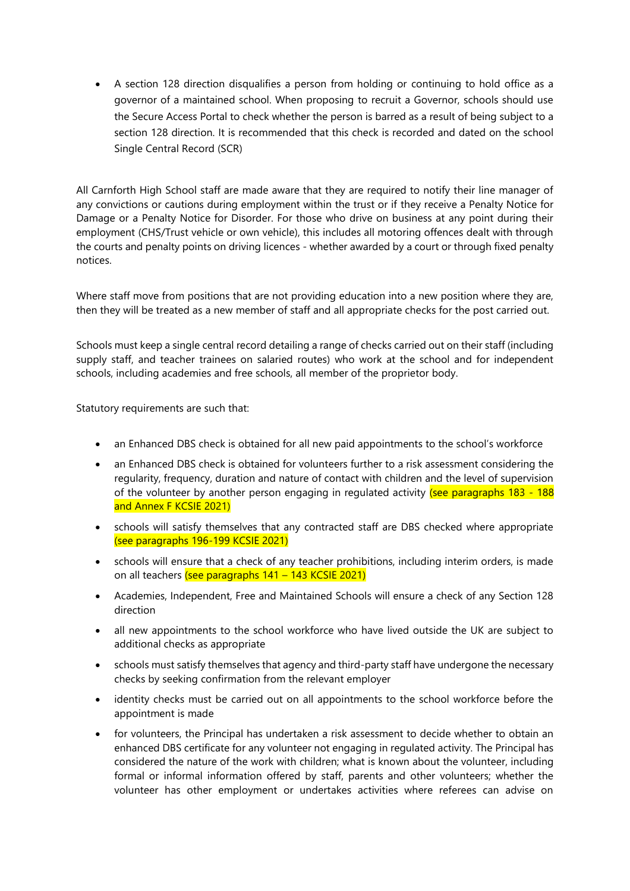• A section 128 direction disqualifies a person from holding or continuing to hold office as a governor of a maintained school. When proposing to recruit a Governor, schools should use the Secure Access Portal to check whether the person is barred as a result of being subject to a section 128 direction. It is recommended that this check is recorded and dated on the school Single Central Record (SCR)

All Carnforth High School staff are made aware that they are required to notify their line manager of any convictions or cautions during employment within the trust or if they receive a Penalty Notice for Damage or a Penalty Notice for Disorder. For those who drive on business at any point during their employment (CHS/Trust vehicle or own vehicle), this includes all motoring offences dealt with through the courts and penalty points on driving licences - whether awarded by a court or through fixed penalty notices.

Where staff move from positions that are not providing education into a new position where they are, then they will be treated as a new member of staff and all appropriate checks for the post carried out.

Schools must keep a single central record detailing a range of checks carried out on their staff (including supply staff, and teacher trainees on salaried routes) who work at the school and for independent schools, including academies and free schools, all member of the proprietor body.

Statutory requirements are such that:

- an Enhanced DBS check is obtained for all new paid appointments to the school's workforce
- an Enhanced DBS check is obtained for volunteers further to a risk assessment considering the regularity, frequency, duration and nature of contact with children and the level of supervision of the volunteer by another person engaging in regulated activity (see paragraphs  $183 - 188$ and Annex F KCSIE 2021)
- schools will satisfy themselves that any contracted staff are DBS checked where appropriate (see paragraphs 196-199 KCSIE 2021)
- schools will ensure that a check of any teacher prohibitions, including interim orders, is made on all teachers (see paragraphs 141 – 143 KCSIE 2021)
- Academies, Independent, Free and Maintained Schools will ensure a check of any Section 128 direction
- all new appointments to the school workforce who have lived outside the UK are subject to additional checks as appropriate
- schools must satisfy themselves that agency and third-party staff have undergone the necessary checks by seeking confirmation from the relevant employer
- identity checks must be carried out on all appointments to the school workforce before the appointment is made
- for volunteers, the Principal has undertaken a risk assessment to decide whether to obtain an enhanced DBS certificate for any volunteer not engaging in regulated activity. The Principal has considered the nature of the work with children; what is known about the volunteer, including formal or informal information offered by staff, parents and other volunteers; whether the volunteer has other employment or undertakes activities where referees can advise on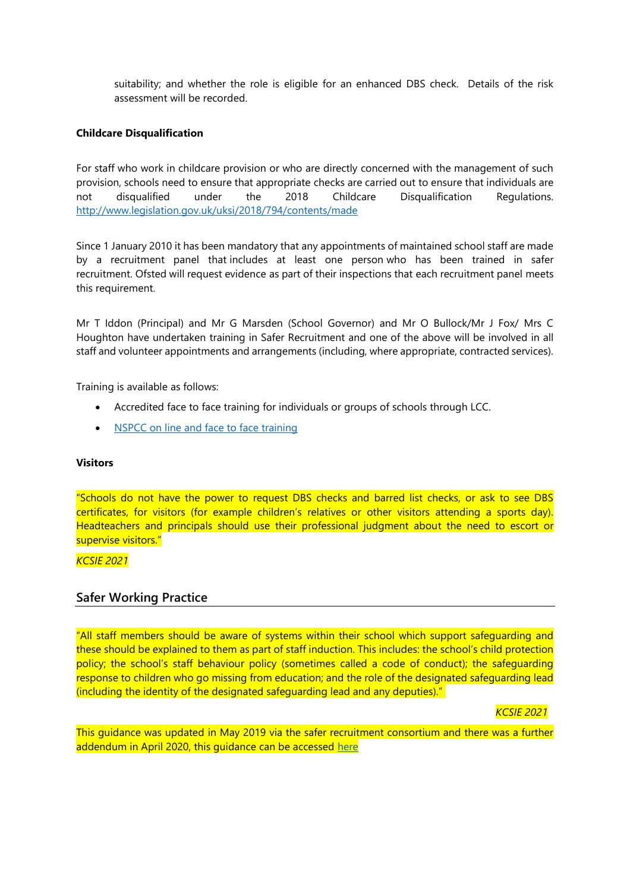suitability; and whether the role is eligible for an enhanced DBS check. Details of the risk assessment will be recorded.

### **Childcare Disqualification**

For staff who work in childcare provision or who are directly concerned with the management of such provision, schools need to ensure that appropriate checks are carried out to ensure that individuals are not disqualified under the 2018 Childcare Disqualification Regulations. <http://www.legislation.gov.uk/uksi/2018/794/contents/made>

Since 1 January 2010 it has been mandatory that any appointments of maintained school staff are made by a recruitment panel that includes at least one person who has been trained in safer recruitment. Ofsted will request evidence as part of their inspections that each recruitment panel meets this requirement.

Mr T Iddon (Principal) and Mr G Marsden (School Governor) and Mr O Bullock/Mr J Fox/ Mrs C Houghton have undertaken training in Safer Recruitment and one of the above will be involved in all staff and volunteer appointments and arrangements (including, where appropriate, contracted services).

Training is available as follows:

- Accredited face to face training for individuals or groups of schools through LCC.
- [NSPCC on line and face to face training](https://www.nspcc.org.uk/what-you-can-do/get-expert-training/safer-recruitment-training/)

#### **Visitors**

"Schools do not have the power to request DBS checks and barred list checks, or ask to see DBS certificates, for visitors (for example children's relatives or other visitors attending a sports day). Headteachers and principals should use their professional judgment about the need to escort or supervise visitors."

#### *KCSIE 2021*

### **Safer Working Practice**

"All staff members should be aware of systems within their school which support safeguarding and these should be explained to them as part of staff induction. This includes: the school's child protection policy; the school's staff behaviour policy (sometimes called a code of conduct); the safeguarding response to children who go missing from education; and the role of the designated safeguarding lead (including the identity of the designated safeguarding lead and any deputies)."

*KCSIE 2021*

This guidance was updated in May 2019 via the safer recruitment consortium and there was a further addendum in April 2020, this quidance can be accessed [here](https://www.saferrecruitmentconsortium.org/)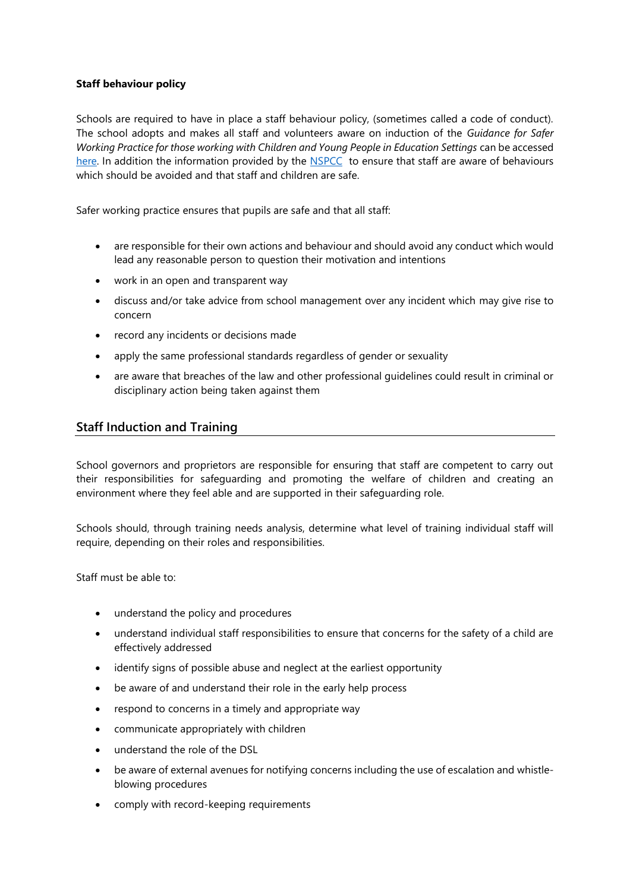### **Staff behaviour policy**

Schools are required to have in place a staff behaviour policy, (sometimes called a code of conduct). The school adopts and makes all staff and volunteers aware on induction of the *Guidance for Safer Working Practice for those working with Children and Young People in Education Settings* can be accessed [here.](http://www.saferrecruitmentconsortium.org/) In addition the information provided by the [NSPCC](http://www.nspcc.org.uk/preventing-abuse/child-abuse-and-neglect/grooming/) to ensure that staff are aware of behaviours which should be avoided and that staff and children are safe.

Safer working practice ensures that pupils are safe and that all staff:

- are responsible for their own actions and behaviour and should avoid any conduct which would lead any reasonable person to question their motivation and intentions
- work in an open and transparent way
- discuss and/or take advice from school management over any incident which may give rise to concern
- record any incidents or decisions made
- apply the same professional standards regardless of gender or sexuality
- are aware that breaches of the law and other professional guidelines could result in criminal or disciplinary action being taken against them

# **Staff Induction and Training**

School governors and proprietors are responsible for ensuring that staff are competent to carry out their responsibilities for safeguarding and promoting the welfare of children and creating an environment where they feel able and are supported in their safeguarding role.

Schools should, through training needs analysis, determine what level of training individual staff will require, depending on their roles and responsibilities.

Staff must be able to:

- understand the policy and procedures
- understand individual staff responsibilities to ensure that concerns for the safety of a child are effectively addressed
- identify signs of possible abuse and neglect at the earliest opportunity
- be aware of and understand their role in the early help process
- respond to concerns in a timely and appropriate way
- communicate appropriately with children
- understand the role of the DSL
- be aware of external avenues for notifying concerns including the use of escalation and whistleblowing procedures
- comply with record-keeping requirements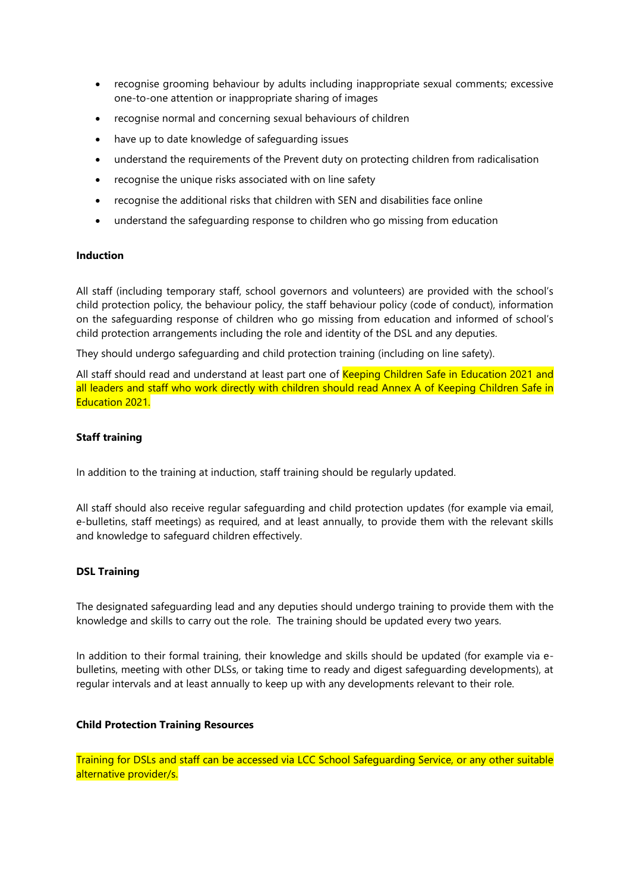- recognise grooming behaviour by adults including inappropriate sexual comments; excessive one-to-one attention or inappropriate sharing of images
- recognise normal and concerning sexual behaviours of children
- have up to date knowledge of safeguarding issues
- understand the requirements of the Prevent duty on protecting children from radicalisation
- recognise the unique risks associated with on line safety
- recognise the additional risks that children with SEN and disabilities face online
- understand the safeguarding response to children who go missing from education

### **Induction**

All staff (including temporary staff, school governors and volunteers) are provided with the school's child protection policy, the behaviour policy, the staff behaviour policy (code of conduct), information on the safeguarding response of children who go missing from education and informed of school's child protection arrangements including the role and identity of the DSL and any deputies.

They should undergo safeguarding and child protection training (including on line safety).

All staff should read and understand at least part one of Keeping Children Safe in Education 2021 and all leaders and staff who work directly with children should read Annex A of Keeping Children Safe in Education 2021.

### **Staff training**

In addition to the training at induction, staff training should be regularly updated.

All staff should also receive regular safeguarding and child protection updates (for example via email, e-bulletins, staff meetings) as required, and at least annually, to provide them with the relevant skills and knowledge to safeguard children effectively.

### **DSL Training**

The designated safeguarding lead and any deputies should undergo training to provide them with the knowledge and skills to carry out the role. The training should be updated every two years.

In addition to their formal training, their knowledge and skills should be updated (for example via ebulletins, meeting with other DLSs, or taking time to ready and digest safeguarding developments), at regular intervals and at least annually to keep up with any developments relevant to their role.

### **Child Protection Training Resources**

Training for DSLs and staff can be accessed via LCC School Safeguarding Service, or any other suitable alternative provider/s.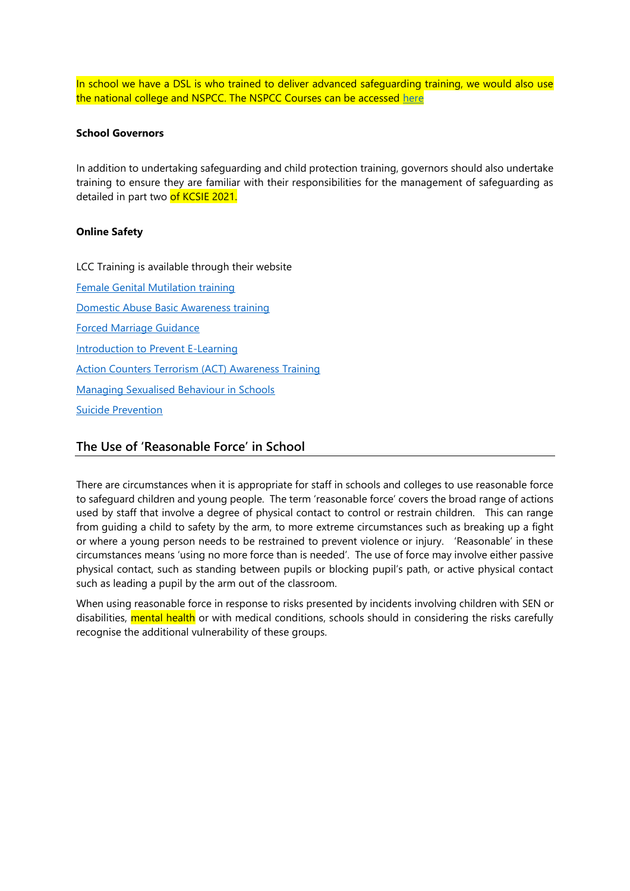In school we have a DSL is who trained to deliver advanced safeguarding training, we would also use the national college and NSPCC. The NSPCC Courses can be accessed [here](https://learning.nspcc.org.uk/training/schools/)

### **School Governors**

In addition to undertaking safeguarding and child protection training, governors should also undertake training to ensure they are familiar with their responsibilities for the management of safeguarding as detailed in part two of KCSIE 2021.

### **Online Safety**

LCC Training is available through their website

[Female Genital Mutilation training](http://www.fgmelearning.co.uk/) [Domestic Abuse Basic Awareness training](https://courses.idas.org.uk/) [Forced Marriage Guidance](https://www.gov.uk/forced-marriage)  [Introduction to Prevent E-Learning](https://www.elearning.prevent.homeoffice.gov.uk/) [Action Counters Terrorism \(ACT\) Awareness Training](https://ct.highfieldelearning.com/) [Managing Sexualised Behaviour in Schools](https://learning.nspcc.org.uk/training/schools/managing-sexualised-behaviour-in-schools-online-courses/) [Suicide Prevention](https://www.hee.nhs.uk/news-blogs-events/news/new-health-education-england-learning-tool-help-health-professionals-spot-early-warning-signs)

### **The Use of 'Reasonable Force' in School**

There are circumstances when it is appropriate for staff in schools and colleges to use reasonable force to safeguard children and young people. The term 'reasonable force' covers the broad range of actions used by staff that involve a degree of physical contact to control or restrain children. This can range from guiding a child to safety by the arm, to more extreme circumstances such as breaking up a fight or where a young person needs to be restrained to prevent violence or injury. 'Reasonable' in these circumstances means 'using no more force than is needed'. The use of force may involve either passive physical contact, such as standing between pupils or blocking pupil's path, or active physical contact such as leading a pupil by the arm out of the classroom.

When using reasonable force in response to risks presented by incidents involving children with SEN or disabilities, mental health or with medical conditions, schools should in considering the risks carefully recognise the additional vulnerability of these groups.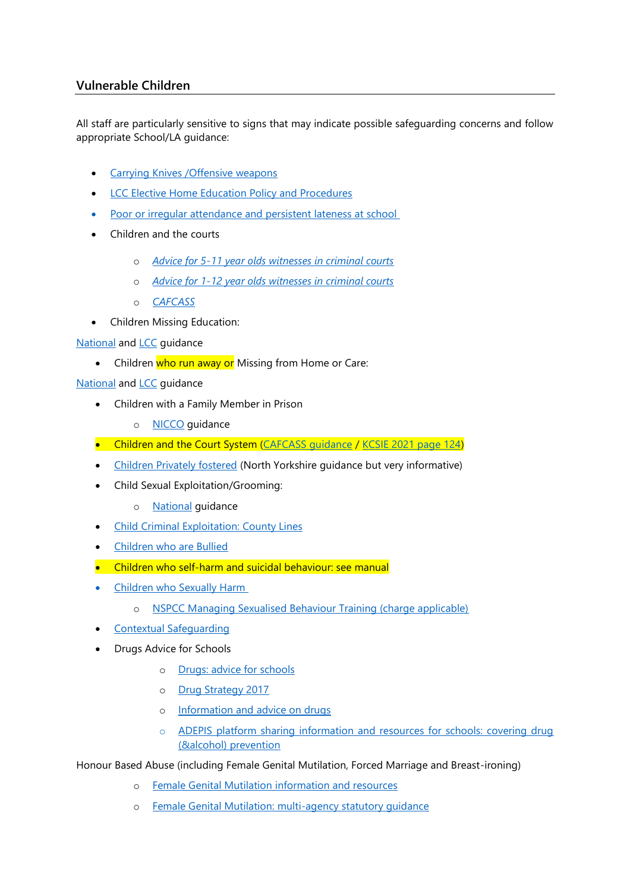# **Vulnerable Children**

All staff are particularly sensitive to signs that may indicate possible safeguarding concerns and follow appropriate School/LA guidance:

- Carrying Knives / Offensive weapons
- **[LCC Elective Home Education Policy and Procedures](https://www.lancashire.gov.uk/children-education-families/educating-your-child-at-home/)**
- Poor or irregular attendance and persistent lateness at school
- Children and the courts
	- o *Advice for 5-11 year [olds witnesses in criminal courts](https://www.gov.uk/government/publications/young-witness-booklet-for-5-to-11-year-olds)*
	- o *[Advice for 1-12 year olds witnesses in criminal courts](https://www.gov.uk/government/publications/young-witness-booklet-for-12-to-17-year-olds)*
	- o *[CAFCASS](https://www.cafcass.gov.uk/)*
- Children Missing Education:

**[National](https://www.gov.uk/government/publications/children-missing-education) and [LCC](https://www.lancashire.gov.uk/practitioners/supporting-children-and-families/education/children-missing-education/) guidance** 

• Children who run away or Missing from Home or Care:

**[National](https://www.gov.uk/government/publications/children-who-run-away-or-go-missing-from-home-or-care) and [LCC](https://www.proceduresonline.com/lancashirecsc/files/missing_home_process.pdf) guidance** 

- Children with a Family Member in Prison
	- o [NICCO](https://www.nicco.org.uk/) guidance
- Children and the Court System (CAFCASS quidance / [KCSIE 2021 page 124\)](https://assets.publishing.service.gov.uk/government/uploads/system/uploads/attachment_data/file/1007260/Keeping_children_safe_in_education_2021.pdf#page=124)
- [Children Privately fostered](http://www.safeguardingchildren.co.uk/professionals/private-fostering) (North Yorkshire guidance but very informative)
- Child Sexual Exploitation/Grooming:
	- o [National](https://www.gov.uk/government/publications/child-sexual-exploitation-definition-and-guide-for-practitioners) guidance
- [Child Criminal Exploitation: County Lines](https://www.gov.uk/government/publications/criminal-exploitation-of-children-and-vulnerable-adults-county-lines)
- [Children who are Bullied](https://www.gov.uk/government/publications/preventing-and-tackling-bullying)
- Children who self-harm and suicidal behaviour: see manual
- [Children who Sexually Harm](https://www.safeguardingchildren.co.uk/professionals/practice-guidance/) 
	- o [NSPCC Managing Sexualised Behaviour Training \(charge applicable\)](https://learning.nspcc.org.uk/training/harmful-sexual-behaviour-hsb-schools)
- [Contextual Safeguarding](https://contextualsafeguarding.org.uk/about/what-is-contextual-safeguarding)
- Drugs Advice for Schools
	- o [Drugs: advice for schools](https://www.gov.uk/government/publications/drugs-advice-for-schools)
	- o [Drug Strategy 2017](https://www.gov.uk/government/publications/drug-strategy-2017)
	- o [Information and advice on drugs](https://www.talktofrank.com/)
	- o [ADEPIS platform sharing information and resources for schools: covering drug](https://www.gov.uk/government/news/government-funds-school-resource-for-drug-and-alcohol-prevention)  [\(&alcohol\) prevention](https://www.gov.uk/government/news/government-funds-school-resource-for-drug-and-alcohol-prevention)

Honour Based Abuse (including Female Genital Mutilation, Forced Marriage and Breast-ironing)

- o [Female Genital Mutilation information and resources](https://www.gov.uk/government/collections/female-genital-mutilation)
- o [Female Genital Mutilation: multi-agency statutory guidance](https://www.gov.uk/government/publications/multi-agency-statutory-guidance-on-female-genital-mutilation)